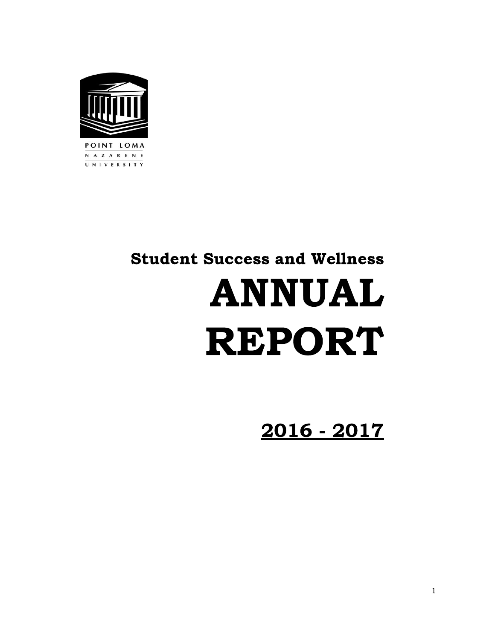

# Student Success and Wellness ANNUAL REPORT

# 2016 - 2017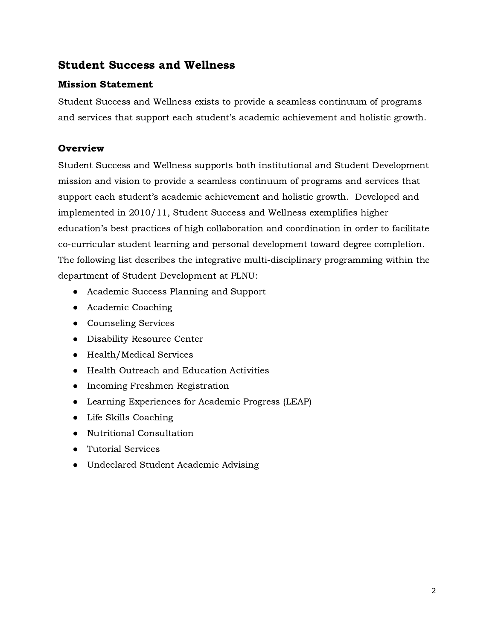# Student Success and Wellness

# Mission Statement

Student Success and Wellness exists to provide a seamless continuum of programs and services that support each student's academic achievement and holistic growth.

# **Overview**

Student Success and Wellness supports both institutional and Student Development mission and vision to provide a seamless continuum of programs and services that support each student's academic achievement and holistic growth. Developed and implemented in 2010/11, Student Success and Wellness exemplifies higher education's best practices of high collaboration and coordination in order to facilitate co-curricular student learning and personal development toward degree completion. The following list describes the integrative multi-disciplinary programming within the department of Student Development at PLNU:

- Academic Success Planning and Support
- Academic Coaching
- Counseling Services
- Disability Resource Center
- Health/Medical Services
- Health Outreach and Education Activities
- Incoming Freshmen Registration
- Learning Experiences for Academic Progress (LEAP)
- Life Skills Coaching
- Nutritional Consultation
- Tutorial Services
- Undeclared Student Academic Advising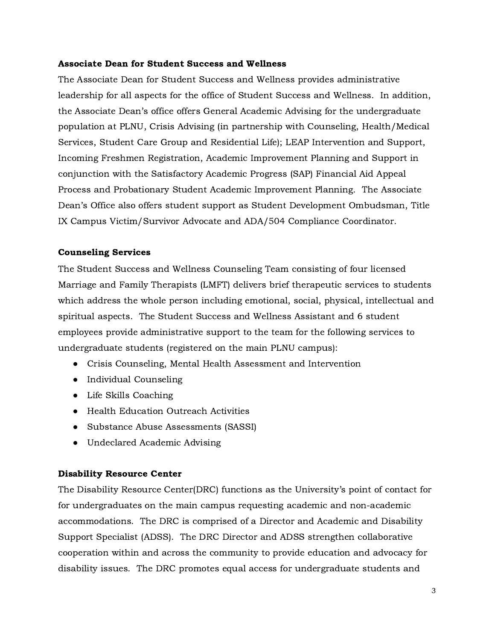#### Associate Dean for Student Success and Wellness

The Associate Dean for Student Success and Wellness provides administrative leadership for all aspects for the office of Student Success and Wellness. In addition, the Associate Dean's office offers General Academic Advising for the undergraduate population at PLNU, Crisis Advising (in partnership with Counseling, Health/Medical Services, Student Care Group and Residential Life); LEAP Intervention and Support, Incoming Freshmen Registration, Academic Improvement Planning and Support in conjunction with the Satisfactory Academic Progress (SAP) Financial Aid Appeal Process and Probationary Student Academic Improvement Planning. The Associate Dean's Office also offers student support as Student Development Ombudsman, Title IX Campus Victim/Survivor Advocate and ADA/504 Compliance Coordinator.

#### Counseling Services

The Student Success and Wellness Counseling Team consisting of four licensed Marriage and Family Therapists (LMFT) delivers brief therapeutic services to students which address the whole person including emotional, social, physical, intellectual and spiritual aspects. The Student Success and Wellness Assistant and 6 student employees provide administrative support to the team for the following services to undergraduate students (registered on the main PLNU campus):

- Crisis Counseling, Mental Health Assessment and Intervention
- Individual Counseling
- Life Skills Coaching
- Health Education Outreach Activities
- Substance Abuse Assessments (SASSI)
- Undeclared Academic Advising

#### Disability Resource Center

The Disability Resource Center(DRC) functions as the University's point of contact for for undergraduates on the main campus requesting academic and non-academic accommodations. The DRC is comprised of a Director and Academic and Disability Support Specialist (ADSS). The DRC Director and ADSS strengthen collaborative cooperation within and across the community to provide education and advocacy for disability issues. The DRC promotes equal access for undergraduate students and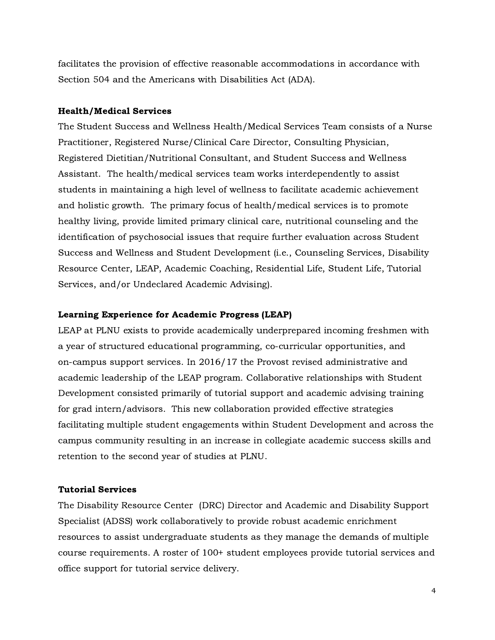facilitates the provision of effective reasonable accommodations in accordance with Section 504 and the Americans with Disabilities Act (ADA).

#### Health/Medical Services

The Student Success and Wellness Health/Medical Services Team consists of a Nurse Practitioner, Registered Nurse/Clinical Care Director, Consulting Physician, Registered Dietitian/Nutritional Consultant, and Student Success and Wellness Assistant. The health/medical services team works interdependently to assist students in maintaining a high level of wellness to facilitate academic achievement and holistic growth. The primary focus of health/medical services is to promote healthy living, provide limited primary clinical care, nutritional counseling and the identification of psychosocial issues that require further evaluation across Student Success and Wellness and Student Development (i.e., Counseling Services, Disability Resource Center, LEAP, Academic Coaching, Residential Life, Student Life, Tutorial Services, and/or Undeclared Academic Advising).

#### Learning Experience for Academic Progress (LEAP)

LEAP at PLNU exists to provide academically underprepared incoming freshmen with a year of structured educational programming, co-curricular opportunities, and on-campus support services. In 2016/17 the Provost revised administrative and academic leadership of the LEAP program. Collaborative relationships with Student Development consisted primarily of tutorial support and academic advising training for grad intern/advisors. This new collaboration provided effective strategies facilitating multiple student engagements within Student Development and across the campus community resulting in an increase in collegiate academic success skills and retention to the second year of studies at PLNU.

#### Tutorial Services

The Disability Resource Center (DRC) Director and Academic and Disability Support Specialist (ADSS) work collaboratively to provide robust academic enrichment resources to assist undergraduate students as they manage the demands of multiple course requirements. A roster of 100+ student employees provide tutorial services and office support for tutorial service delivery.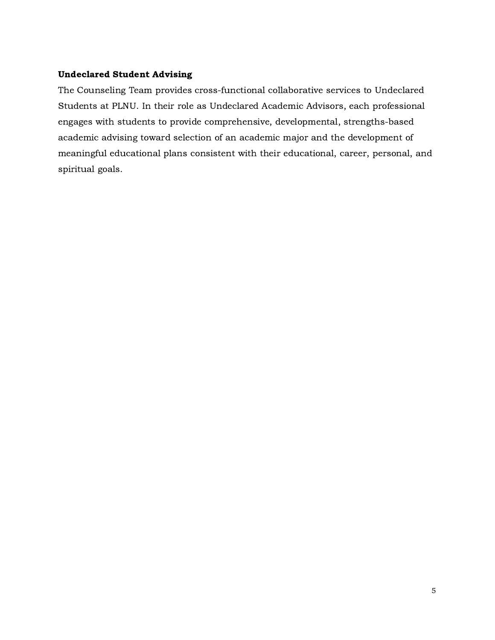#### Undeclared Student Advising

The Counseling Team provides cross-functional collaborative services to Undeclared Students at PLNU. In their role as Undeclared Academic Advisors, each professional engages with students to provide comprehensive, developmental, strengths-based academic advising toward selection of an academic major and the development of meaningful educational plans consistent with their educational, career, personal, and spiritual goals.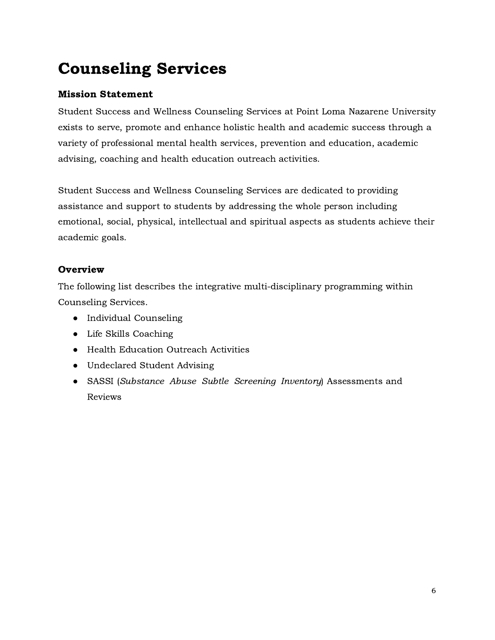# Counseling Services

# Mission Statement

Student Success and Wellness Counseling Services at Point Loma Nazarene University exists to serve, promote and enhance holistic health and academic success through a variety of professional mental health services, prevention and education, academic advising, coaching and health education outreach activities.

Student Success and Wellness Counseling Services are dedicated to providing assistance and support to students by addressing the whole person including emotional, social, physical, intellectual and spiritual aspects as students achieve their academic goals.

# **Overview**

The following list describes the integrative multi-disciplinary programming within Counseling Services.

- Individual Counseling
- Life Skills Coaching
- Health Education Outreach Activities
- Undeclared Student Advising
- SASSI (Substance Abuse Subtle Screening Inventory) Assessments and Reviews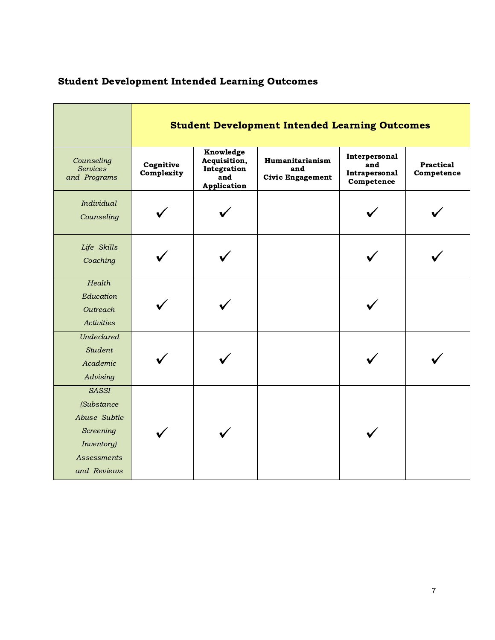|                                                                                                            | <b>Student Development Intended Learning Outcomes</b> |                                                                |                                                          |                                                     |                                |  |  |
|------------------------------------------------------------------------------------------------------------|-------------------------------------------------------|----------------------------------------------------------------|----------------------------------------------------------|-----------------------------------------------------|--------------------------------|--|--|
| Counseling<br><b>Services</b><br>and Programs                                                              | Cognitive<br>Complexity                               | Knowledge<br>Acquisition,<br>Integration<br>and<br>Application | <b>Humanitarianism</b><br>and<br><b>Civic Engagement</b> | Interpersonal<br>and<br>Intrapersonal<br>Competence | <b>Practical</b><br>Competence |  |  |
| Individual<br>Counseling                                                                                   |                                                       |                                                                |                                                          |                                                     |                                |  |  |
| Life Skills<br>Coaching                                                                                    |                                                       |                                                                |                                                          |                                                     |                                |  |  |
| Health<br>Education<br>Outreach<br>Activities                                                              |                                                       |                                                                |                                                          |                                                     |                                |  |  |
| <b>Undeclared</b><br><b>Student</b><br>Academic<br>Advising                                                |                                                       |                                                                |                                                          |                                                     |                                |  |  |
| <b>SASSI</b><br>(Substance<br>Abuse Subtle<br>Screening<br>Inventory)<br><i>Assessments</i><br>and Reviews |                                                       |                                                                |                                                          |                                                     |                                |  |  |

# Student Development Intended Learning Outcomes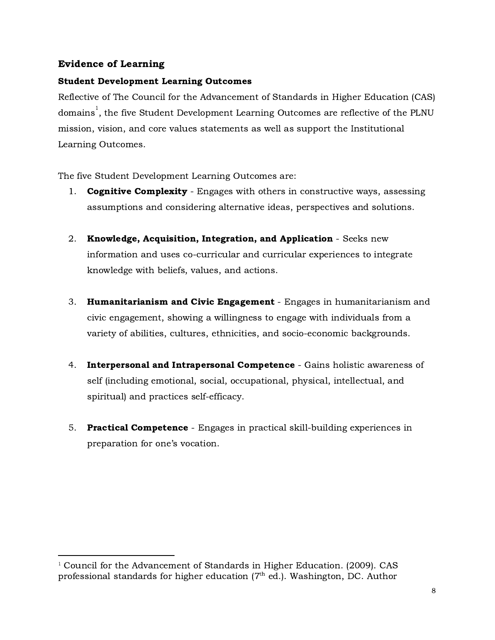# Evidence of Learning

### Student Development Learning Outcomes

Reflective of The Council for the Advancement of Standards in Higher Education (CAS) domains $^{\rm l}$ , the five Student Development Learning Outcomes are reflective of the PLNU mission, vision, and core values statements as well as support the Institutional Learning Outcomes.

The five Student Development Learning Outcomes are:

- 1. **Cognitive Complexity** Engages with others in constructive ways, assessing assumptions and considering alternative ideas, perspectives and solutions.
- 2. Knowledge, Acquisition, Integration, and Application Seeks new information and uses co-curricular and curricular experiences to integrate knowledge with beliefs, values, and actions.
- 3. Humanitarianism and Civic Engagement Engages in humanitarianism and civic engagement, showing a willingness to engage with individuals from a variety of abilities, cultures, ethnicities, and socio-economic backgrounds.
- 4. Interpersonal and Intrapersonal Competence Gains holistic awareness of self (including emotional, social, occupational, physical, intellectual, and spiritual) and practices self-efficacy.
- 5. Practical Competence Engages in practical skill-building experiences in preparation for one's vocation.

<sup>&</sup>lt;sup>1</sup> Council for the Advancement of Standards in Higher Education. (2009). CAS professional standards for higher education ( $7^{\text{th}}$  ed.). Washington, DC. Author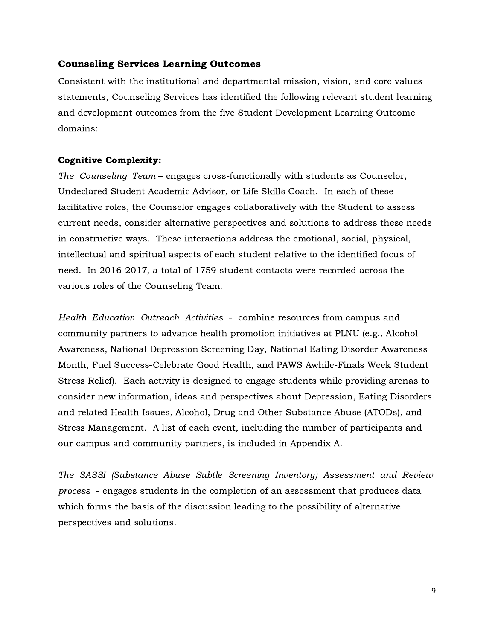#### Counseling Services Learning Outcomes

Consistent with the institutional and departmental mission, vision, and core values statements, Counseling Services has identified the following relevant student learning and development outcomes from the five Student Development Learning Outcome domains:

#### Cognitive Complexity:

The Counseling Team – engages cross-functionally with students as Counselor, Undeclared Student Academic Advisor, or Life Skills Coach. In each of these facilitative roles, the Counselor engages collaboratively with the Student to assess current needs, consider alternative perspectives and solutions to address these needs in constructive ways. These interactions address the emotional, social, physical, intellectual and spiritual aspects of each student relative to the identified focus of need. In 2016-2017, a total of 1759 student contacts were recorded across the various roles of the Counseling Team.

Health Education Outreach Activities - combine resources from campus and community partners to advance health promotion initiatives at PLNU (e.g., Alcohol Awareness, National Depression Screening Day, National Eating Disorder Awareness Month, Fuel Success-Celebrate Good Health, and PAWS Awhile-Finals Week Student Stress Relief). Each activity is designed to engage students while providing arenas to consider new information, ideas and perspectives about Depression, Eating Disorders and related Health Issues, Alcohol, Drug and Other Substance Abuse (ATODs), and Stress Management. A list of each event, including the number of participants and our campus and community partners, is included in Appendix A.

The SASSI (Substance Abuse Subtle Screening Inventory) Assessment and Review process - engages students in the completion of an assessment that produces data which forms the basis of the discussion leading to the possibility of alternative perspectives and solutions.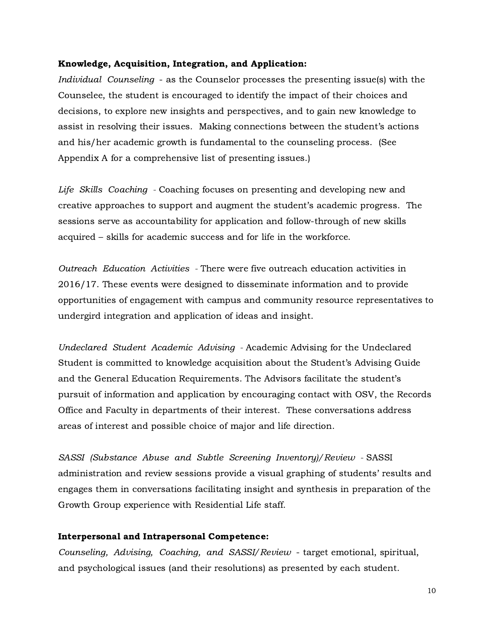#### Knowledge, Acquisition, Integration, and Application:

Individual Counseling - as the Counselor processes the presenting issue(s) with the Counselee, the student is encouraged to identify the impact of their choices and decisions, to explore new insights and perspectives, and to gain new knowledge to assist in resolving their issues. Making connections between the student's actions and his/her academic growth is fundamental to the counseling process. (See Appendix A for a comprehensive list of presenting issues.)

Life Skills Coaching - Coaching focuses on presenting and developing new and creative approaches to support and augment the student's academic progress. The sessions serve as accountability for application and follow-through of new skills acquired – skills for academic success and for life in the workforce.

Outreach Education Activities - There were five outreach education activities in 2016/17. These events were designed to disseminate information and to provide opportunities of engagement with campus and community resource representatives to undergird integration and application of ideas and insight.

Undeclared Student Academic Advising - Academic Advising for the Undeclared Student is committed to knowledge acquisition about the Student's Advising Guide and the General Education Requirements. The Advisors facilitate the student's pursuit of information and application by encouraging contact with OSV, the Records Office and Faculty in departments of their interest. These conversations address areas of interest and possible choice of major and life direction.

SASSI (Substance Abuse and Subtle Screening Inventory)/Review - SASSI administration and review sessions provide a visual graphing of students' results and engages them in conversations facilitating insight and synthesis in preparation of the Growth Group experience with Residential Life staff.

#### Interpersonal and Intrapersonal Competence:

Counseling, Advising, Coaching, and SASSI/Review - target emotional, spiritual, and psychological issues (and their resolutions) as presented by each student.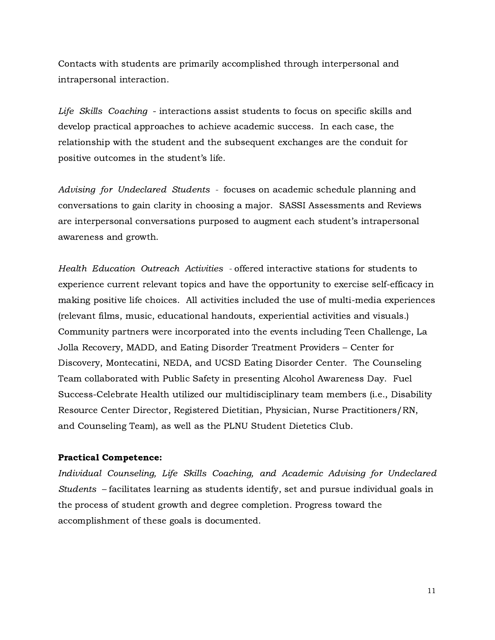Contacts with students are primarily accomplished through interpersonal and intrapersonal interaction.

Life Skills Coaching - interactions assist students to focus on specific skills and develop practical approaches to achieve academic success. In each case, the relationship with the student and the subsequent exchanges are the conduit for positive outcomes in the student's life.

Advising for Undeclared Students - focuses on academic schedule planning and conversations to gain clarity in choosing a major. SASSI Assessments and Reviews are interpersonal conversations purposed to augment each student's intrapersonal awareness and growth.

Health Education Outreach Activities - offered interactive stations for students to experience current relevant topics and have the opportunity to exercise self-efficacy in making positive life choices. All activities included the use of multi-media experiences (relevant films, music, educational handouts, experiential activities and visuals.) Community partners were incorporated into the events including Teen Challenge, La Jolla Recovery, MADD, and Eating Disorder Treatment Providers – Center for Discovery, Montecatini, NEDA, and UCSD Eating Disorder Center. The Counseling Team collaborated with Public Safety in presenting Alcohol Awareness Day. Fuel Success-Celebrate Health utilized our multidisciplinary team members (i.e., Disability Resource Center Director, Registered Dietitian, Physician, Nurse Practitioners/RN, and Counseling Team), as well as the PLNU Student Dietetics Club.

#### Practical Competence:

Individual Counseling, Life Skills Coaching, and Academic Advising for Undeclared Students – facilitates learning as students identify, set and pursue individual goals in the process of student growth and degree completion. Progress toward the accomplishment of these goals is documented.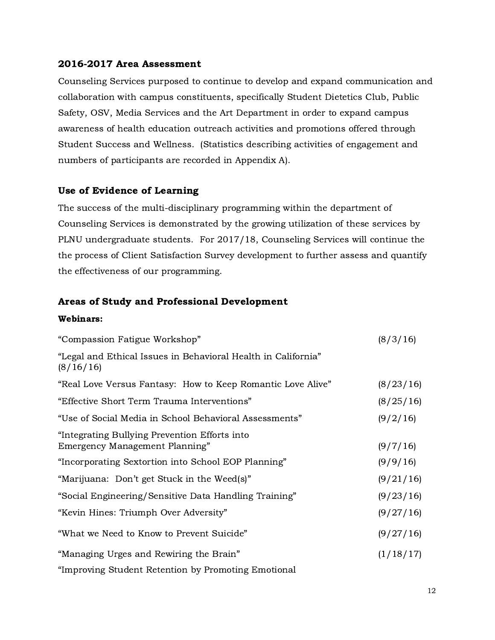#### 2016-2017 Area Assessment

Counseling Services purposed to continue to develop and expand communication and collaboration with campus constituents, specifically Student Dietetics Club, Public Safety, OSV, Media Services and the Art Department in order to expand campus awareness of health education outreach activities and promotions offered through Student Success and Wellness. (Statistics describing activities of engagement and numbers of participants are recorded in Appendix A).

### Use of Evidence of Learning

The success of the multi-disciplinary programming within the department of Counseling Services is demonstrated by the growing utilization of these services by PLNU undergraduate students. For 2017/18, Counseling Services will continue the the process of Client Satisfaction Survey development to further assess and quantify the effectiveness of our programming.

### Areas of Study and Professional Development

#### Webinars:

| "Compassion Fatigue Workshop"                                                   |           |  |  |  |
|---------------------------------------------------------------------------------|-----------|--|--|--|
| "Legal and Ethical Issues in Behavioral Health in California"<br>(8/16/16)      |           |  |  |  |
| "Real Love Versus Fantasy: How to Keep Romantic Love Alive"                     | (8/23/16) |  |  |  |
| "Effective Short Term Trauma Interventions"                                     | (8/25/16) |  |  |  |
| "Use of Social Media in School Behavioral Assessments"                          | (9/2/16)  |  |  |  |
| "Integrating Bullying Prevention Efforts into<br>Emergency Management Planning" | (9/7/16)  |  |  |  |
| "Incorporating Sextortion into School EOP Planning"                             | (9/9/16)  |  |  |  |
| "Marijuana: Don't get Stuck in the Weed(s)"                                     | (9/21/16) |  |  |  |
| "Social Engineering/Sensitive Data Handling Training"                           | (9/23/16) |  |  |  |
| "Kevin Hines: Triumph Over Adversity"                                           | (9/27/16) |  |  |  |
| "What we Need to Know to Prevent Suicide"                                       | (9/27/16) |  |  |  |
| "Managing Urges and Rewiring the Brain"                                         | (1/18/17) |  |  |  |
| "Improving Student Retention by Promoting Emotional                             |           |  |  |  |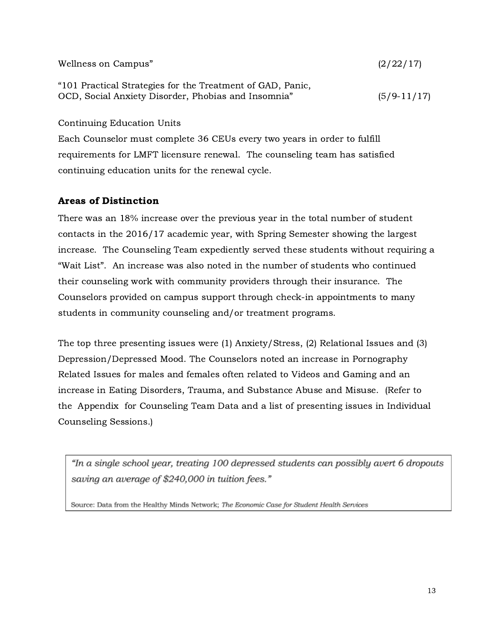| Wellness on Campus"                                        | (2/22/17)     |
|------------------------------------------------------------|---------------|
| "101 Practical Strategies for the Treatment of GAD, Panic, |               |
| OCD, Social Anxiety Disorder, Phobias and Insomnia"        | $(5/9-11/17)$ |

Continuing Education Units

Each Counselor must complete 36 CEUs every two years in order to fulfill requirements for LMFT licensure renewal. The counseling team has satisfied continuing education units for the renewal cycle.

### Areas of Distinction

There was an 18% increase over the previous year in the total number of student contacts in the 2016/17 academic year, with Spring Semester showing the largest increase. The Counseling Team expediently served these students without requiring a "Wait List". An increase was also noted in the number of students who continued their counseling work with community providers through their insurance. The Counselors provided on campus support through check-in appointments to many students in community counseling and/or treatment programs.

The top three presenting issues were (1) Anxiety/Stress, (2) Relational Issues and (3) Depression/Depressed Mood. The Counselors noted an increase in Pornography Related Issues for males and females often related to Videos and Gaming and an increase in Eating Disorders, Trauma, and Substance Abuse and Misuse. (Refer to the Appendix for Counseling Team Data and a list of presenting issues in Individual Counseling Sessions.)

"In a single school year, treating 100 depressed students can possibly avert 6 dropouts saving an average of \$240,000 in tuition fees."

Source: Data from the Healthy Minds Network; The Economic Case for Student Health Senvices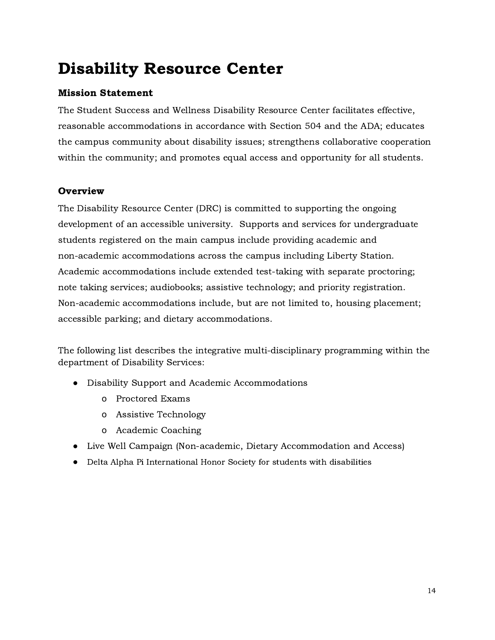# Disability Resource Center

# Mission Statement

The Student Success and Wellness Disability Resource Center facilitates effective, reasonable accommodations in accordance with Section 504 and the ADA; educates the campus community about disability issues; strengthens collaborative cooperation within the community; and promotes equal access and opportunity for all students.

# **Overview**

The Disability Resource Center (DRC) is committed to supporting the ongoing development of an accessible university. Supports and services for undergraduate students registered on the main campus include providing academic and non-academic accommodations across the campus including Liberty Station. Academic accommodations include extended test-taking with separate proctoring; note taking services; audiobooks; assistive technology; and priority registration. Non-academic accommodations include, but are not limited to, housing placement; accessible parking; and dietary accommodations.

The following list describes the integrative multi-disciplinary programming within the department of Disability Services:

- Disability Support and Academic Accommodations
	- o Proctored Exams
	- o Assistive Technology
	- o Academic Coaching
- Live Well Campaign (Non-academic, Dietary Accommodation and Access)
- Delta Alpha Pi International Honor Society for students with disabilities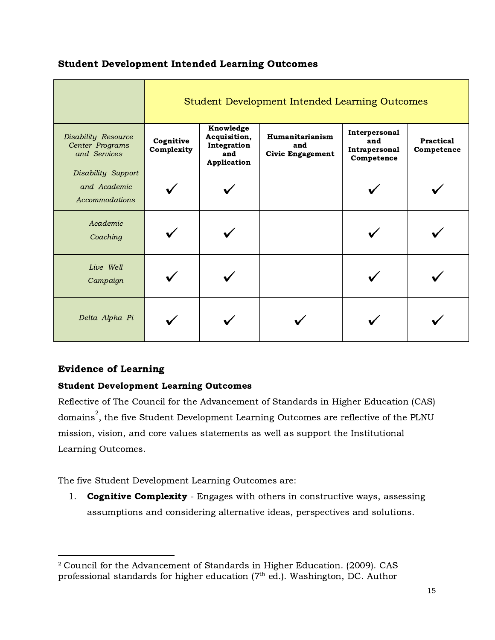# Student Development Intended Learning Outcomes

|                                                               | Student Development Intended Learning Outcomes |                                                                |                                                   |                                                     |                         |  |  |  |
|---------------------------------------------------------------|------------------------------------------------|----------------------------------------------------------------|---------------------------------------------------|-----------------------------------------------------|-------------------------|--|--|--|
| <b>Disability Resource</b><br>Center Programs<br>and Services | Cognitive<br>Complexity                        | Knowledge<br>Acquisition,<br>Integration<br>and<br>Application | Humanitarianism<br>and<br><b>Civic Engagement</b> | Interpersonal<br>and<br>Intrapersonal<br>Competence | Practical<br>Competence |  |  |  |
| Disability Support<br>and Academic<br>Accommodations          |                                                |                                                                |                                                   |                                                     |                         |  |  |  |
| Academic<br>Coaching                                          |                                                |                                                                |                                                   |                                                     |                         |  |  |  |
| Live Well<br>Campaign                                         |                                                |                                                                |                                                   |                                                     |                         |  |  |  |
| Delta Alpha Pi                                                |                                                |                                                                |                                                   |                                                     |                         |  |  |  |

# Evidence of Learning

## Student Development Learning Outcomes

Reflective of The Council for the Advancement of Standards in Higher Education (CAS) domains $\degree$ , the five Student Development Learning Outcomes are reflective of the PLNU mission, vision, and core values statements as well as support the Institutional Learning Outcomes.

The five Student Development Learning Outcomes are:

1. **Cognitive Complexity** - Engages with others in constructive ways, assessing assumptions and considering alternative ideas, perspectives and solutions.

<sup>2</sup> Council for the Advancement of Standards in Higher Education. (2009). CAS professional standards for higher education ( $7^{\text{th}}$  ed.). Washington, DC. Author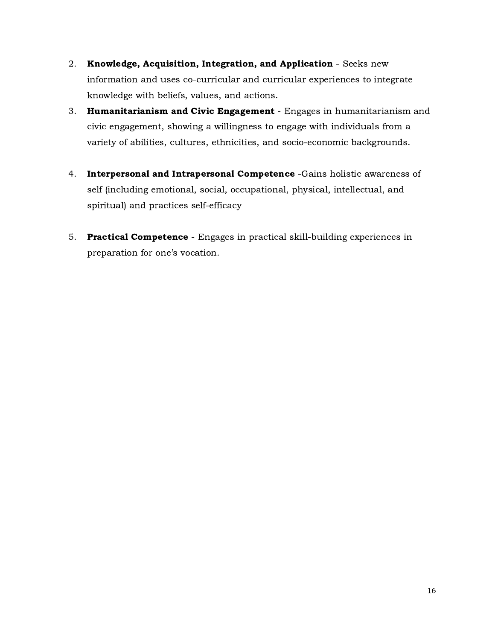- 2. Knowledge, Acquisition, Integration, and Application Seeks new information and uses co-curricular and curricular experiences to integrate knowledge with beliefs, values, and actions.
- 3. Humanitarianism and Civic Engagement Engages in humanitarianism and civic engagement, showing a willingness to engage with individuals from a variety of abilities, cultures, ethnicities, and socio-economic backgrounds.
- 4. Interpersonal and Intrapersonal Competence -Gains holistic awareness of self (including emotional, social, occupational, physical, intellectual, and spiritual) and practices self-efficacy
- 5. Practical Competence Engages in practical skill-building experiences in preparation for one's vocation.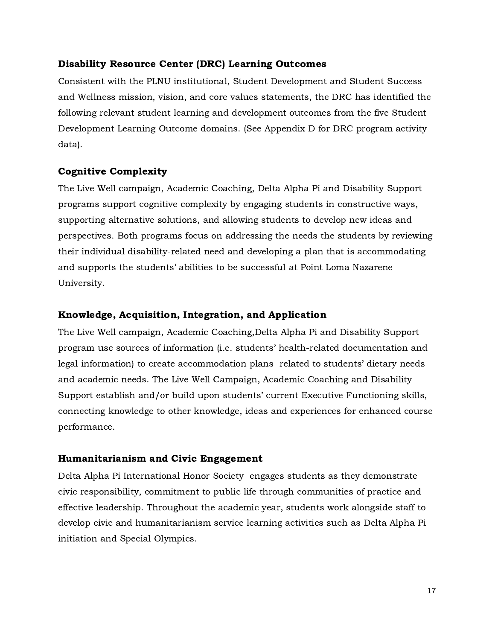### Disability Resource Center (DRC) Learning Outcomes

Consistent with the PLNU institutional, Student Development and Student Success and Wellness mission, vision, and core values statements, the DRC has identified the following relevant student learning and development outcomes from the five Student Development Learning Outcome domains. (See Appendix D for DRC program activity data).

## Cognitive Complexity

The Live Well campaign, Academic Coaching, Delta Alpha Pi and Disability Support programs support cognitive complexity by engaging students in constructive ways, supporting alternative solutions, and allowing students to develop new ideas and perspectives. Both programs focus on addressing the needs the students by reviewing their individual disability-related need and developing a plan that is accommodating and supports the students' abilities to be successful at Point Loma Nazarene University.

### Knowledge, Acquisition, Integration, and Application

The Live Well campaign, Academic Coaching,Delta Alpha Pi and Disability Support program use sources of information (i.e. students' health-related documentation and legal information) to create accommodation plans related to students' dietary needs and academic needs. The Live Well Campaign, Academic Coaching and Disability Support establish and/or build upon students' current Executive Functioning skills, connecting knowledge to other knowledge, ideas and experiences for enhanced course performance.

#### Humanitarianism and Civic Engagement

Delta Alpha Pi International Honor Society engages students as they demonstrate civic responsibility, commitment to public life through communities of practice and effective leadership. Throughout the academic year, students work alongside staff to develop civic and humanitarianism service learning activities such as Delta Alpha Pi initiation and Special Olympics.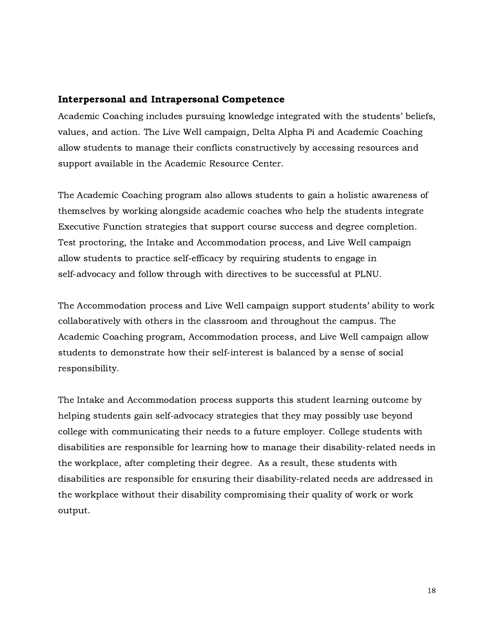#### Interpersonal and Intrapersonal Competence

Academic Coaching includes pursuing knowledge integrated with the students' beliefs, values, and action. The Live Well campaign, Delta Alpha Pi and Academic Coaching allow students to manage their conflicts constructively by accessing resources and support available in the Academic Resource Center.

The Academic Coaching program also allows students to gain a holistic awareness of themselves by working alongside academic coaches who help the students integrate Executive Function strategies that support course success and degree completion. Test proctoring, the Intake and Accommodation process, and Live Well campaign allow students to practice self-efficacy by requiring students to engage in self-advocacy and follow through with directives to be successful at PLNU.

The Accommodation process and Live Well campaign support students' ability to work collaboratively with others in the classroom and throughout the campus. The Academic Coaching program, Accommodation process, and Live Well campaign allow students to demonstrate how their self-interest is balanced by a sense of social responsibility.

The Intake and Accommodation process supports this student learning outcome by helping students gain self-advocacy strategies that they may possibly use beyond college with communicating their needs to a future employer. College students with disabilities are responsible for learning how to manage their disability-related needs in the workplace, after completing their degree. As a result, these students with disabilities are responsible for ensuring their disability-related needs are addressed in the workplace without their disability compromising their quality of work or work output.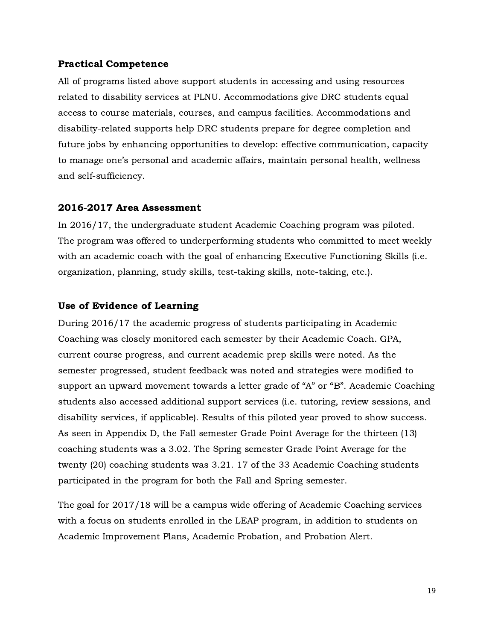#### Practical Competence

All of programs listed above support students in accessing and using resources related to disability services at PLNU. Accommodations give DRC students equal access to course materials, courses, and campus facilities. Accommodations and disability-related supports help DRC students prepare for degree completion and future jobs by enhancing opportunities to develop: effective communication, capacity to manage one's personal and academic affairs, maintain personal health, wellness and self-sufficiency.

#### 2016-2017 Area Assessment

In 2016/17, the undergraduate student Academic Coaching program was piloted. The program was offered to underperforming students who committed to meet weekly with an academic coach with the goal of enhancing Executive Functioning Skills (i.e. organization, planning, study skills, test-taking skills, note-taking, etc.).

#### Use of Evidence of Learning

During 2016/17 the academic progress of students participating in Academic Coaching was closely monitored each semester by their Academic Coach. GPA, current course progress, and current academic prep skills were noted. As the semester progressed, student feedback was noted and strategies were modified to support an upward movement towards a letter grade of "A" or "B". Academic Coaching students also accessed additional support services (i.e. tutoring, review sessions, and disability services, if applicable). Results of this piloted year proved to show success. As seen in Appendix D, the Fall semester Grade Point Average for the thirteen (13) coaching students was a 3.02. The Spring semester Grade Point Average for the twenty (20) coaching students was 3.21. 17 of the 33 Academic Coaching students participated in the program for both the Fall and Spring semester.

The goal for 2017/18 will be a campus wide offering of Academic Coaching services with a focus on students enrolled in the LEAP program, in addition to students on Academic Improvement Plans, Academic Probation, and Probation Alert.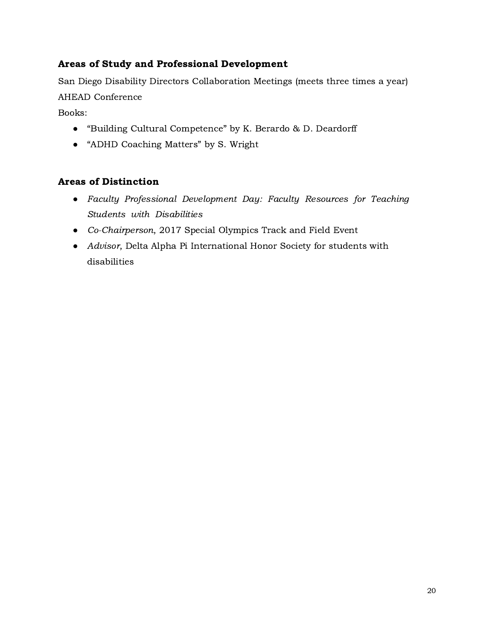# Areas of Study and Professional Development

San Diego Disability Directors Collaboration Meetings (meets three times a year) AHEAD Conference

Books:

- "Building Cultural Competence" by K. Berardo & D. Deardorff
- "ADHD Coaching Matters" by S. Wright

# Areas of Distinction

- Faculty Professional Development Day: Faculty Resources for Teaching Students with Disabilities
- Co-Chairperson, 2017 Special Olympics Track and Field Event
- Advisor, Delta Alpha Pi International Honor Society for students with disabilities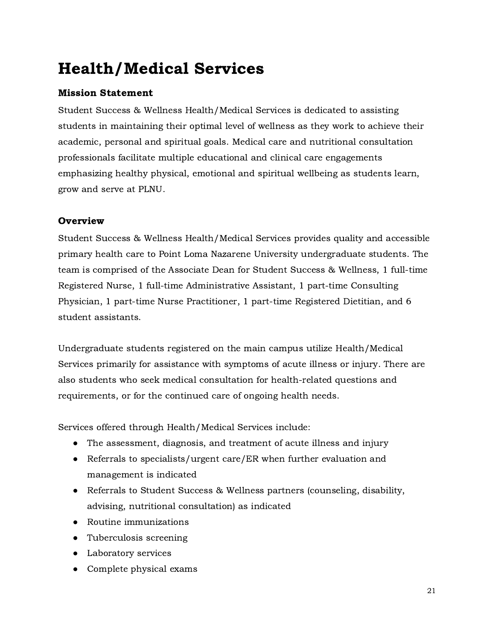# Health/Medical Services

# Mission Statement

Student Success & Wellness Health/Medical Services is dedicated to assisting students in maintaining their optimal level of wellness as they work to achieve their academic, personal and spiritual goals. Medical care and nutritional consultation professionals facilitate multiple educational and clinical care engagements emphasizing healthy physical, emotional and spiritual wellbeing as students learn, grow and serve at PLNU.

# **Overview**

Student Success & Wellness Health/Medical Services provides quality and accessible primary health care to Point Loma Nazarene University undergraduate students. The team is comprised of the Associate Dean for Student Success & Wellness, 1 full-time Registered Nurse, 1 full-time Administrative Assistant, 1 part-time Consulting Physician, 1 part-time Nurse Practitioner, 1 part-time Registered Dietitian, and 6 student assistants.

Undergraduate students registered on the main campus utilize Health/Medical Services primarily for assistance with symptoms of acute illness or injury. There are also students who seek medical consultation for health-related questions and requirements, or for the continued care of ongoing health needs.

Services offered through Health/Medical Services include:

- The assessment, diagnosis, and treatment of acute illness and injury
- Referrals to specialists/urgent care/ER when further evaluation and management is indicated
- Referrals to Student Success & Wellness partners (counseling, disability, advising, nutritional consultation) as indicated
- Routine immunizations
- Tuberculosis screening
- Laboratory services
- Complete physical exams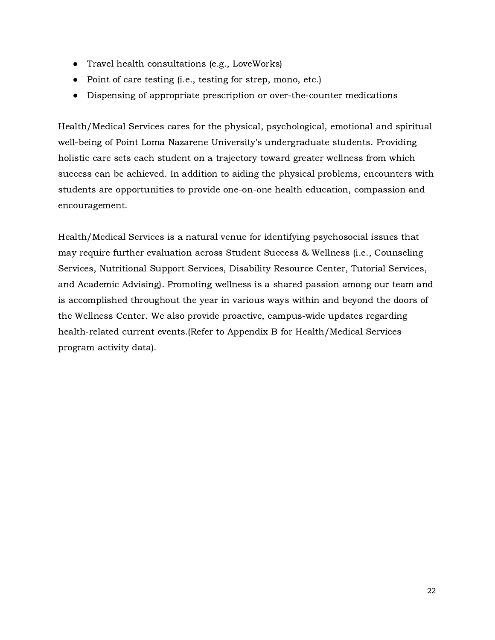- Travel health consultations (e.g., LoveWorks)
- Point of care testing (i.e., testing for strep, mono, etc.)
- Dispensing of appropriate prescription or over-the-counter medications

Health/Medical Services cares for the physical, psychological, emotional and spiritual well-being of Point Loma Nazarene University's undergraduate students. Providing holistic care sets each student on a trajectory toward greater wellness from which success can be achieved. In addition to aiding the physical problems, encounters with students are opportunities to provide one-on-one health education, compassion and encouragement.

Health/Medical Services is a natural venue for identifying psychosocial issues that may require further evaluation across Student Success & Wellness (i.e., Counseling Services, Nutritional Support Services, Disability Resource Center, Tutorial Services, and Academic Advising). Promoting wellness is a shared passion among our team and is accomplished throughout the year in various ways within and beyond the doors of the Wellness Center. We also provide proactive, campus-wide updates regarding health-related current events.(Refer to Appendix B for Health/Medical Services program activity data).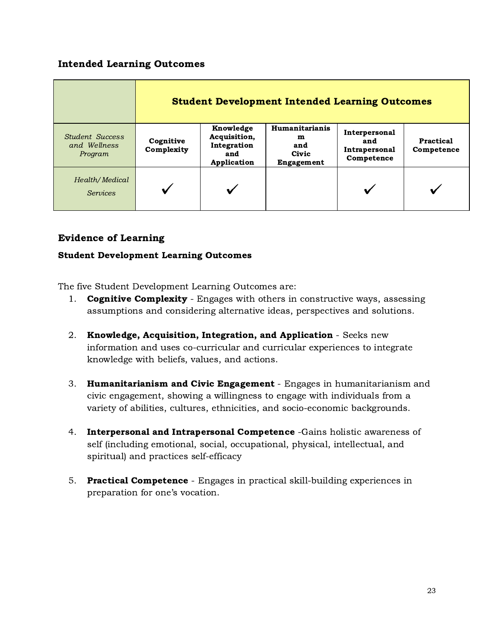# Intended Learning Outcomes

|                                                   | <b>Student Development Intended Learning Outcomes</b> |                                                                |                                                          |                                                     |                         |  |  |
|---------------------------------------------------|-------------------------------------------------------|----------------------------------------------------------------|----------------------------------------------------------|-----------------------------------------------------|-------------------------|--|--|
| <b>Student Success</b><br>and Wellness<br>Program | Cognitive<br>Complexity                               | Knowledge<br>Acquisition,<br>Integration<br>and<br>Application | Humanitarianis<br>m<br>and<br>Civic<br><b>Engagement</b> | Interpersonal<br>and<br>Intrapersonal<br>Competence | Practical<br>Competence |  |  |
| Health/Medical<br><b>Services</b>                 |                                                       |                                                                |                                                          |                                                     |                         |  |  |

# Evidence of Learning

### Student Development Learning Outcomes

The five Student Development Learning Outcomes are:

- 1. **Cognitive Complexity** Engages with others in constructive ways, assessing assumptions and considering alternative ideas, perspectives and solutions.
- 2. Knowledge, Acquisition, Integration, and Application Seeks new information and uses co-curricular and curricular experiences to integrate knowledge with beliefs, values, and actions.
- 3. Humanitarianism and Civic Engagement Engages in humanitarianism and civic engagement, showing a willingness to engage with individuals from a variety of abilities, cultures, ethnicities, and socio-economic backgrounds.
- 4. Interpersonal and Intrapersonal Competence -Gains holistic awareness of self (including emotional, social, occupational, physical, intellectual, and spiritual) and practices self-efficacy
- 5. Practical Competence Engages in practical skill-building experiences in preparation for one's vocation.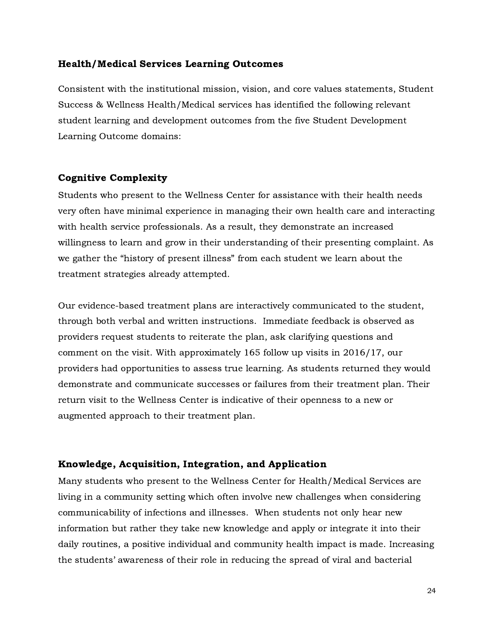#### Health/Medical Services Learning Outcomes

Consistent with the institutional mission, vision, and core values statements, Student Success & Wellness Health/Medical services has identified the following relevant student learning and development outcomes from the five Student Development Learning Outcome domains:

#### Cognitive Complexity

Students who present to the Wellness Center for assistance with their health needs very often have minimal experience in managing their own health care and interacting with health service professionals. As a result, they demonstrate an increased willingness to learn and grow in their understanding of their presenting complaint. As we gather the "history of present illness" from each student we learn about the treatment strategies already attempted.

Our evidence-based treatment plans are interactively communicated to the student, through both verbal and written instructions. Immediate feedback is observed as providers request students to reiterate the plan, ask clarifying questions and comment on the visit. With approximately 165 follow up visits in 2016/17, our providers had opportunities to assess true learning. As students returned they would demonstrate and communicate successes or failures from their treatment plan. Their return visit to the Wellness Center is indicative of their openness to a new or augmented approach to their treatment plan.

#### Knowledge, Acquisition, Integration, and Application

Many students who present to the Wellness Center for Health/Medical Services are living in a community setting which often involve new challenges when considering communicability of infections and illnesses. When students not only hear new information but rather they take new knowledge and apply or integrate it into their daily routines, a positive individual and community health impact is made. Increasing the students' awareness of their role in reducing the spread of viral and bacterial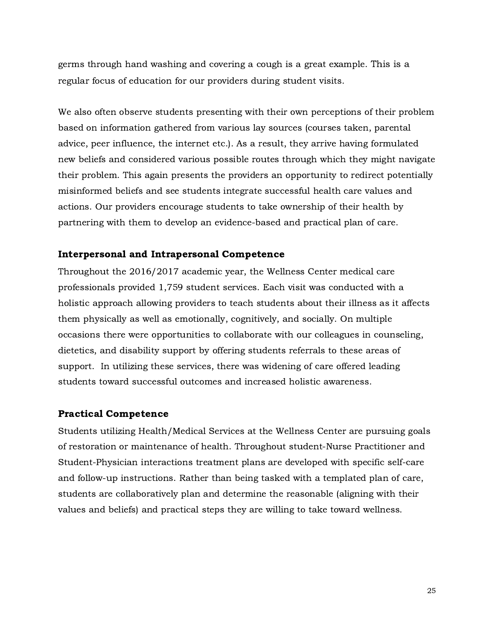germs through hand washing and covering a cough is a great example. This is a regular focus of education for our providers during student visits.

We also often observe students presenting with their own perceptions of their problem based on information gathered from various lay sources (courses taken, parental advice, peer influence, the internet etc.). As a result, they arrive having formulated new beliefs and considered various possible routes through which they might navigate their problem. This again presents the providers an opportunity to redirect potentially misinformed beliefs and see students integrate successful health care values and actions. Our providers encourage students to take ownership of their health by partnering with them to develop an evidence-based and practical plan of care.

#### Interpersonal and Intrapersonal Competence

Throughout the 2016/2017 academic year, the Wellness Center medical care professionals provided 1,759 student services. Each visit was conducted with <sup>a</sup> holistic approach allowing providers to teach students about their illness as it affects them physically as well as emotionally, cognitively, and socially. On multiple occasions there were opportunities to collaborate with our colleagues in counseling, dietetics, and disability support by offering students referrals to these areas of support. In utilizing these services, there was widening of care offered leading students toward successful outcomes and increased holistic awareness.

#### Practical Competence

Students utilizing Health/Medical Services at the Wellness Center are pursuing goals of restoration or maintenance of health. Throughout student-Nurse Practitioner and Student-Physician interactions treatment plans are developed with specific self-care and follow-up instructions. Rather than being tasked with a templated plan of care, students are collaboratively plan and determine the reasonable (aligning with their values and beliefs) and practical steps they are willing to take toward wellness.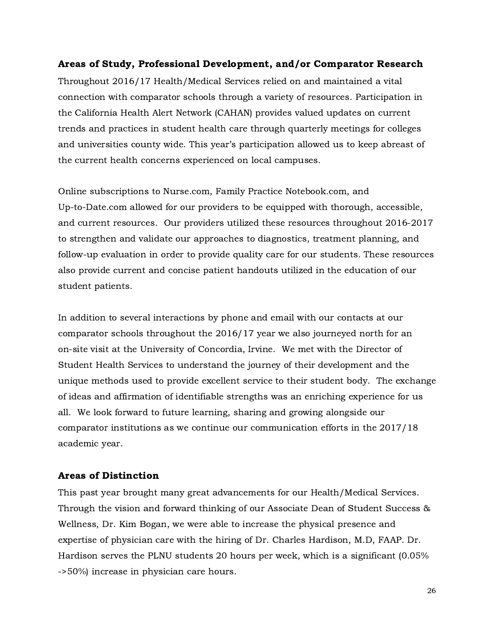#### Areas of Study, Professional Development, and/or Comparator Research

Throughout 2016/17 Health/Medical Services relied on and maintained a vital connection with comparator schools through a variety of resources. Participation in the California Health Alert Network (CAHAN) provides valued updates on current trends and practices in student health care through quarterly meetings for colleges and universities county wide. This year's participation allowed us to keep abreast of the current health concerns experienced on local campuses.

Online subscriptions to Nurse.com, Family Practice Notebook.com, and Up-to-Date.com allowed for our providers to be equipped with thorough, accessible, and current resources. Our providers utilized these resources throughout 2016-2017 to strengthen and validate our approaches to diagnostics, treatment planning, and follow-up evaluation in order to provide quality care for our students. These resources also provide current and concise patient handouts utilized in the education of our student patients.

In addition to several interactions by phone and email with our contacts at our comparator schools throughout the 2016/17 year we also journeyed north for an on-site visit at the University of Concordia, Irvine. We met with the Director of Student Health Services to understand the journey of their development and the unique methods used to provide excellent service to their student body. The exchange of ideas and affirmation of identifiable strengths was an enriching experience for us all. We look forward to future learning, sharing and growing alongside our comparator institutions as we continue our communication efforts in the 2017/18 academic year.

#### Areas of Distinction

This past year brought many great advancements for our Health/Medical Services. Through the vision and forward thinking of our Associate Dean of Student Success & Wellness, Dr. Kim Bogan, we were able to increase the physical presence and expertise of physician care with the hiring of Dr. Charles Hardison, M.D, FAAP. Dr. Hardison serves the PLNU students 20 hours per week, which is a significant (0.05% ->50%) increase in physician care hours.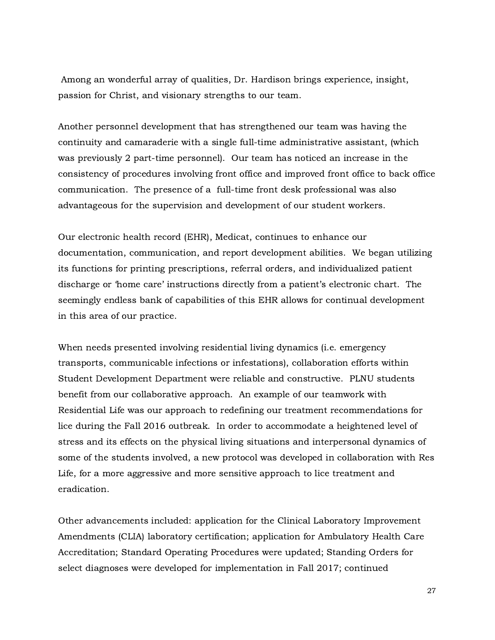Among an wonderful array of qualities, Dr. Hardison brings experience, insight, passion for Christ, and visionary strengths to our team.

Another personnel development that has strengthened our team was having the continuity and camaraderie with a single full-time administrative assistant, (which was previously 2 part-time personnel). Our team has noticed an increase in the consistency of procedures involving front office and improved front office to back office communication. The presence of a full-time front desk professional was also advantageous for the supervision and development of our student workers.

Our electronic health record (EHR), Medicat, continues to enhance our documentation, communication, and report development abilities. We began utilizing its functions for printing prescriptions, referral orders, and individualized patient discharge or 'home care' instructions directly from a patient's electronic chart. The seemingly endless bank of capabilities of this EHR allows for continual development in this area of our practice.

When needs presented involving residential living dynamics (i.e. emergency transports, communicable infections or infestations), collaboration efforts within Student Development Department were reliable and constructive. PLNU students benefit from our collaborative approach. An example of our teamwork with Residential Life was our approach to redefining our treatment recommendations for lice during the Fall 2016 outbreak. In order to accommodate a heightened level of stress and its effects on the physical living situations and interpersonal dynamics of some of the students involved, a new protocol was developed in collaboration with Res Life, for a more aggressive and more sensitive approach to lice treatment and eradication.

Other advancements included: application for the Clinical Laboratory Improvement Amendments (CLIA) laboratory certification; application for Ambulatory Health Care Accreditation; Standard Operating Procedures were updated; Standing Orders for select diagnoses were developed for implementation in Fall 2017; continued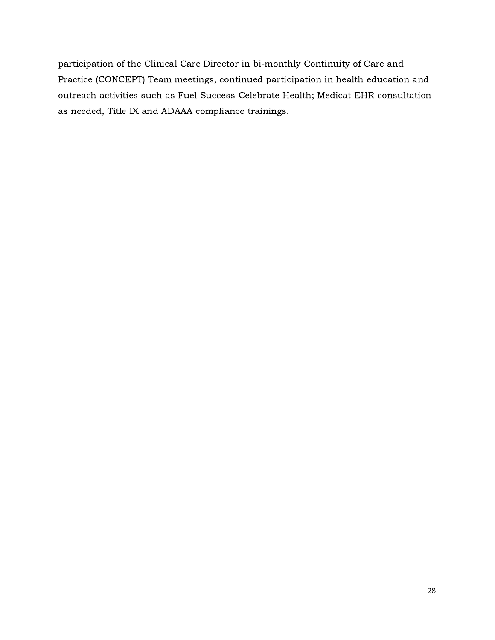participation of the Clinical Care Director in bi-monthly Continuity of Care and Practice (CONCEPT) Team meetings, continued participation in health education and outreach activities such as Fuel Success-Celebrate Health; Medicat EHR consultation as needed, Title IX and ADAAA compliance trainings.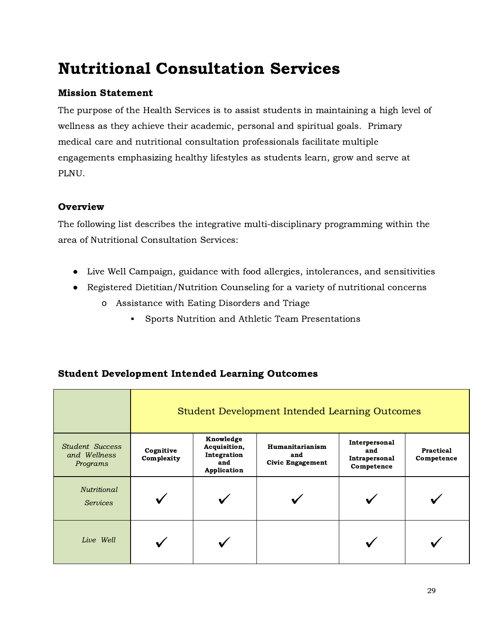# Nutritional Consultation Services

# Mission Statement

The purpose of the Health Services is to assist students in maintaining a high level of wellness as they achieve their academic, personal and spiritual goals. Primary medical care and nutritional consultation professionals facilitate multiple engagements emphasizing healthy lifestyles as students learn, grow and serve at PLNU.

# **Overview**

The following list describes the integrative multi-disciplinary programming within the area of Nutritional Consultation Services:

- Live Well Campaign, guidance with food allergies, intolerances, and sensitivities
- Registered Dietitian/Nutrition Counseling for a variety of nutritional concerns
	- o Assistance with Eating Disorders and Triage
		- **▪** Sports Nutrition and Athletic Team Presentations

|                                                    | Student Development Intended Learning Outcomes |                                                                |                                                          |                                                     |                         |  |  |
|----------------------------------------------------|------------------------------------------------|----------------------------------------------------------------|----------------------------------------------------------|-----------------------------------------------------|-------------------------|--|--|
| <b>Student Success</b><br>and Wellness<br>Programs | Cognitive<br>Complexity                        | Knowledge<br>Acquisition,<br>Integration<br>and<br>Application | <b>Humanitarianism</b><br>and<br><b>Civic Engagement</b> | Interpersonal<br>and<br>Intrapersonal<br>Competence | Practical<br>Competence |  |  |
| <i>Nutritional</i><br><b>Services</b>              |                                                |                                                                |                                                          |                                                     |                         |  |  |
| Live Well                                          |                                                |                                                                |                                                          |                                                     |                         |  |  |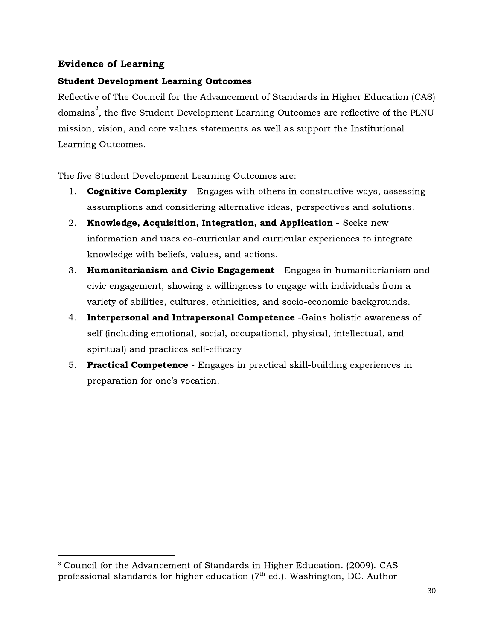# Evidence of Learning

### Student Development Learning Outcomes

Reflective of The Council for the Advancement of Standards in Higher Education (CAS) domains $^3.$  the five Student Development Learning Outcomes are reflective of the PLNU  $\,$ mission, vision, and core values statements as well as support the Institutional Learning Outcomes.

The five Student Development Learning Outcomes are:

- 1. **Cognitive Complexity** Engages with others in constructive ways, assessing assumptions and considering alternative ideas, perspectives and solutions.
- 2. Knowledge, Acquisition, Integration, and Application Seeks new information and uses co-curricular and curricular experiences to integrate knowledge with beliefs, values, and actions.
- 3. Humanitarianism and Civic Engagement Engages in humanitarianism and civic engagement, showing a willingness to engage with individuals from a variety of abilities, cultures, ethnicities, and socio-economic backgrounds.
- 4. Interpersonal and Intrapersonal Competence -Gains holistic awareness of self (including emotional, social, occupational, physical, intellectual, and spiritual) and practices self-efficacy
- 5. Practical Competence Engages in practical skill-building experiences in preparation for one's vocation.

<sup>&</sup>lt;sup>3</sup> Council for the Advancement of Standards in Higher Education. (2009). CAS professional standards for higher education ( $7^{\text{th}}$  ed.). Washington, DC. Author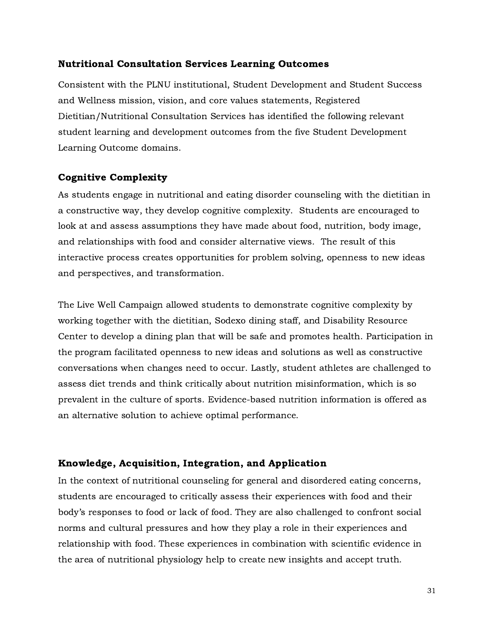#### Nutritional Consultation Services Learning Outcomes

Consistent with the PLNU institutional, Student Development and Student Success and Wellness mission, vision, and core values statements, Registered Dietitian/Nutritional Consultation Services has identified the following relevant student learning and development outcomes from the five Student Development Learning Outcome domains.

#### Cognitive Complexity

As students engage in nutritional and eating disorder counseling with the dietitian in a constructive way, they develop cognitive complexity. Students are encouraged to look at and assess assumptions they have made about food, nutrition, body image, and relationships with food and consider alternative views. The result of this interactive process creates opportunities for problem solving, openness to new ideas and perspectives, and transformation.

The Live Well Campaign allowed students to demonstrate cognitive complexity by working together with the dietitian, Sodexo dining staff, and Disability Resource Center to develop a dining plan that will be safe and promotes health. Participation in the program facilitated openness to new ideas and solutions as well as constructive conversations when changes need to occur. Lastly, student athletes are challenged to assess diet trends and think critically about nutrition misinformation, which is so prevalent in the culture of sports. Evidence-based nutrition information is offered as an alternative solution to achieve optimal performance.

#### Knowledge, Acquisition, Integration, and Application

In the context of nutritional counseling for general and disordered eating concerns, students are encouraged to critically assess their experiences with food and their body's responses to food or lack of food. They are also challenged to confront social norms and cultural pressures and how they play a role in their experiences and relationship with food. These experiences in combination with scientific evidence in the area of nutritional physiology help to create new insights and accept truth.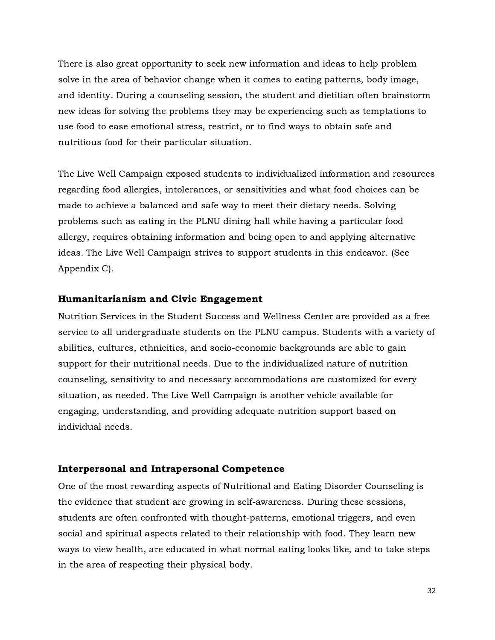There is also great opportunity to seek new information and ideas to help problem solve in the area of behavior change when it comes to eating patterns, body image, and identity. During a counseling session, the student and dietitian often brainstorm new ideas for solving the problems they may be experiencing such as temptations to use food to ease emotional stress, restrict, or to find ways to obtain safe and nutritious food for their particular situation.

The Live Well Campaign exposed students to individualized information and resources regarding food allergies, intolerances, or sensitivities and what food choices can be made to achieve a balanced and safe way to meet their dietary needs. Solving problems such as eating in the PLNU dining hall while having a particular food allergy, requires obtaining information and being open to and applying alternative ideas. The Live Well Campaign strives to support students in this endeavor. (See Appendix C).

#### Humanitarianism and Civic Engagement

Nutrition Services in the Student Success and Wellness Center are provided as a free service to all undergraduate students on the PLNU campus. Students with a variety of abilities, cultures, ethnicities, and socio-economic backgrounds are able to gain support for their nutritional needs. Due to the individualized nature of nutrition counseling, sensitivity to and necessary accommodations are customized for every situation, as needed. The Live Well Campaign is another vehicle available for engaging, understanding, and providing adequate nutrition support based on individual needs.

#### Interpersonal and Intrapersonal Competence

One of the most rewarding aspects of Nutritional and Eating Disorder Counseling is the evidence that student are growing in self-awareness. During these sessions, students are often confronted with thought-patterns, emotional triggers, and even social and spiritual aspects related to their relationship with food. They learn new ways to view health, are educated in what normal eating looks like, and to take steps in the area of respecting their physical body.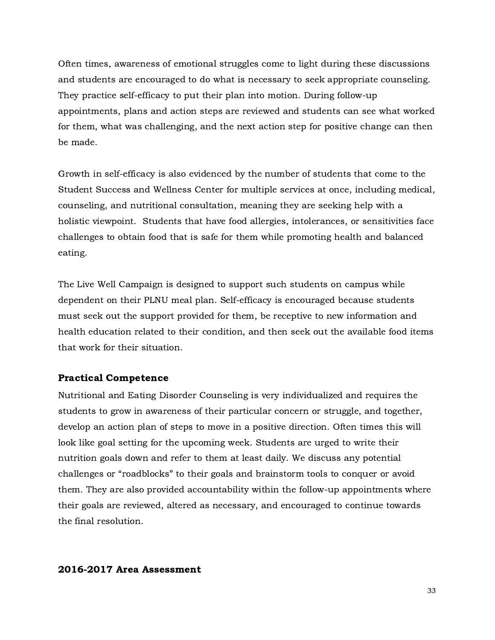Often times, awareness of emotional struggles come to light during these discussions and students are encouraged to do what is necessary to seek appropriate counseling. They practice self-efficacy to put their plan into motion. During follow-up appointments, plans and action steps are reviewed and students can see what worked for them, what was challenging, and the next action step for positive change can then be made.

Growth in self-efficacy is also evidenced by the number of students that come to the Student Success and Wellness Center for multiple services at once, including medical, counseling, and nutritional consultation, meaning they are seeking help with a holistic viewpoint. Students that have food allergies, intolerances, or sensitivities face challenges to obtain food that is safe for them while promoting health and balanced eating.

The Live Well Campaign is designed to support such students on campus while dependent on their PLNU meal plan. Self-efficacy is encouraged because students must seek out the support provided for them, be receptive to new information and health education related to their condition, and then seek out the available food items that work for their situation.

#### Practical Competence

Nutritional and Eating Disorder Counseling is very individualized and requires the students to grow in awareness of their particular concern or struggle, and together, develop an action plan of steps to move in a positive direction. Often times this will look like goal setting for the upcoming week. Students are urged to write their nutrition goals down and refer to them at least daily. We discuss any potential challenges or "roadblocks" to their goals and brainstorm tools to conquer or avoid them. They are also provided accountability within the follow-up appointments where their goals are reviewed, altered as necessary, and encouraged to continue towards the final resolution.

#### 2016-2017 Area Assessment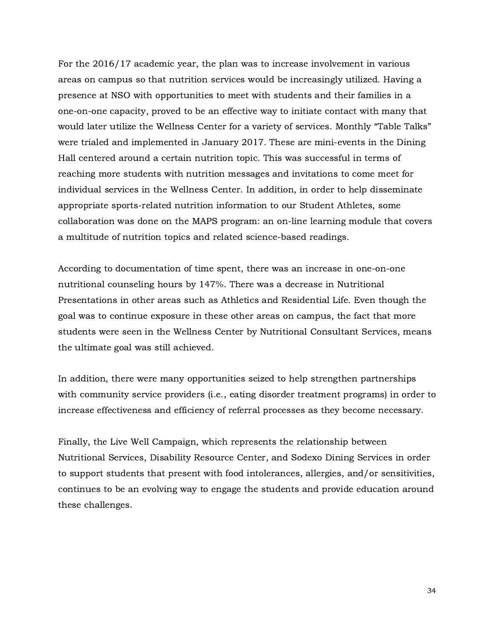For the 2016/17 academic year, the plan was to increase involvement in various areas on campus so that nutrition services would be increasingly utilized. Having a presence at NSO with opportunities to meet with students and their families in a one-on-one capacity, proved to be an effective way to initiate contact with many that would later utilize the Wellness Center for a variety of services. Monthly "Table Talks" were trialed and implemented in January 2017. These are mini-events in the Dining Hall centered around a certain nutrition topic. This was successful in terms of reaching more students with nutrition messages and invitations to come meet for individual services in the Wellness Center. In addition, in order to help disseminate appropriate sports-related nutrition information to our Student Athletes, some collaboration was done on the MAPS program: an on-line learning module that covers a multitude of nutrition topics and related science-based readings.

According to documentation of time spent, there was an increase in one-on-one nutritional counseling hours by 147%. There was a decrease in Nutritional Presentations in other areas such as Athletics and Residential Life. Even though the goal was to continue exposure in these other areas on campus, the fact that more students were seen in the Wellness Center by Nutritional Consultant Services, means the ultimate goal was still achieved.

In addition, there were many opportunities seized to help strengthen partnerships with community service providers (i.e., eating disorder treatment programs) in order to increase effectiveness and efficiency of referral processes as they become necessary.

Finally, the Live Well Campaign, which represents the relationship between Nutritional Services, Disability Resource Center, and Sodexo Dining Services in order to support students that present with food intolerances, allergies, and/or sensitivities, continues to be an evolving way to engage the students and provide education around these challenges.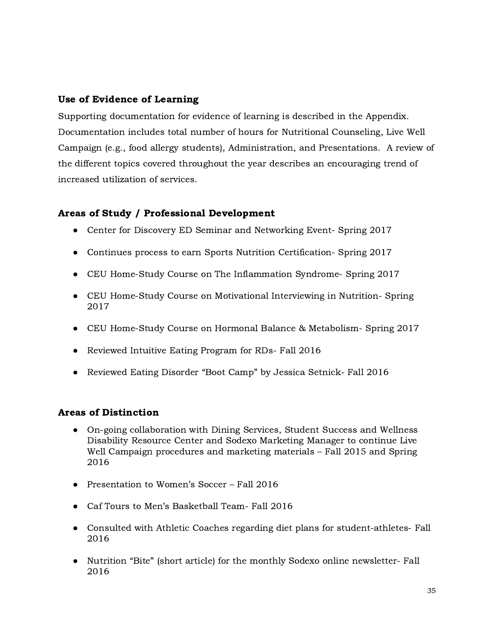# Use of Evidence of Learning

Supporting documentation for evidence of learning is described in the Appendix. Documentation includes total number of hours for Nutritional Counseling, Live Well Campaign (e.g., food allergy students), Administration, and Presentations. A review of the different topics covered throughout the year describes an encouraging trend of increased utilization of services.

# Areas of Study / Professional Development

- Center for Discovery ED Seminar and Networking Event- Spring 2017
- Continues process to earn Sports Nutrition Certification- Spring 2017
- CEU Home-Study Course on The Inflammation Syndrome- Spring 2017
- CEU Home-Study Course on Motivational Interviewing in Nutrition-Spring 2017
- CEU Home-Study Course on Hormonal Balance & Metabolism- Spring 2017
- Reviewed Intuitive Eating Program for RDs- Fall 2016
- Reviewed Eating Disorder "Boot Camp" by Jessica Setnick- Fall 2016

## Areas of Distinction

- On-going collaboration with Dining Services, Student Success and Wellness Disability Resource Center and Sodexo Marketing Manager to continue Live Well Campaign procedures and marketing materials – Fall 2015 and Spring 2016
- Presentation to Women's Soccer Fall 2016
- Caf Tours to Men's Basketball Team- Fall 2016
- Consulted with Athletic Coaches regarding diet plans for student-athletes- Fall 2016
- Nutrition "Bite" (short article) for the monthly Sodexo online newsletter- Fall 2016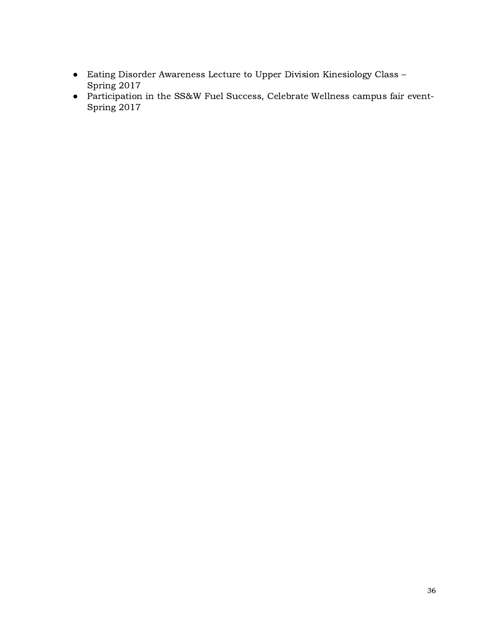- Eating Disorder Awareness Lecture to Upper Division Kinesiology Class Spring 2017
- *●* Participation in the SS&W Fuel Success, Celebrate Wellness campus fair event-Spring 2017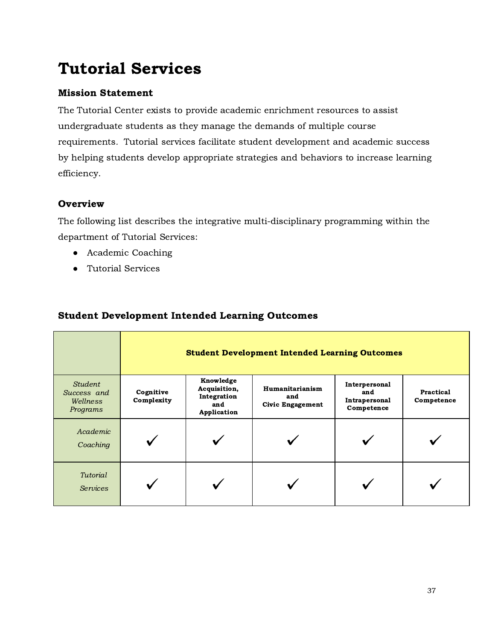# Tutorial Services

# Mission Statement

The Tutorial Center exists to provide academic enrichment resources to assist undergraduate students as they manage the demands of multiple course requirements. Tutorial services facilitate student development and academic success by helping students develop appropriate strategies and behaviors to increase learning efficiency.

# **Overview**

The following list describes the integrative multi-disciplinary programming within the department of Tutorial Services:

- Academic Coaching
- Tutorial Services

# Student Development Intended Learning Outcomes

|                                                | <b>Student Development Intended Learning Outcomes</b> |                                                                |                                            |                                                     |                         |  |  |
|------------------------------------------------|-------------------------------------------------------|----------------------------------------------------------------|--------------------------------------------|-----------------------------------------------------|-------------------------|--|--|
| Student<br>Success and<br>Wellness<br>Programs | Cognitive<br>Complexity                               | Knowledge<br>Acquisition,<br>Integration<br>and<br>Application | Humanitarianism<br>and<br>Civic Engagement | Interpersonal<br>and<br>Intrapersonal<br>Competence | Practical<br>Competence |  |  |
| Academic<br>Coaching                           |                                                       |                                                                |                                            |                                                     |                         |  |  |
| Tutorial<br><b>Services</b>                    |                                                       |                                                                |                                            |                                                     |                         |  |  |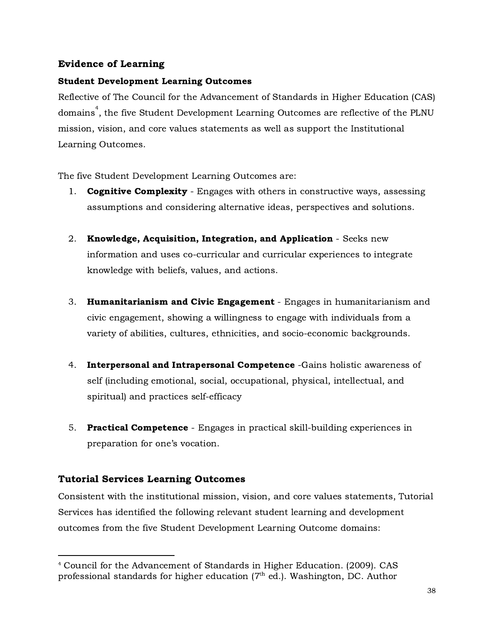# Evidence of Learning

### Student Development Learning Outcomes

Reflective of The Council for the Advancement of Standards in Higher Education (CAS) domains $\degree$ , the five Student Development Learning Outcomes are reflective of the PLNU mission, vision, and core values statements as well as support the Institutional Learning Outcomes.

The five Student Development Learning Outcomes are:

- 1. **Cognitive Complexity** Engages with others in constructive ways, assessing assumptions and considering alternative ideas, perspectives and solutions.
- 2. Knowledge, Acquisition, Integration, and Application Seeks new information and uses co-curricular and curricular experiences to integrate knowledge with beliefs, values, and actions.
- 3. Humanitarianism and Civic Engagement Engages in humanitarianism and civic engagement, showing a willingness to engage with individuals from a variety of abilities, cultures, ethnicities, and socio-economic backgrounds.
- 4. Interpersonal and Intrapersonal Competence -Gains holistic awareness of self (including emotional, social, occupational, physical, intellectual, and spiritual) and practices self-efficacy
- 5. Practical Competence Engages in practical skill-building experiences in preparation for one's vocation.

# Tutorial Services Learning Outcomes

Consistent with the institutional mission, vision, and core values statements, Tutorial Services has identified the following relevant student learning and development outcomes from the five Student Development Learning Outcome domains:

<sup>4</sup> Council for the Advancement of Standards in Higher Education. (2009). CAS professional standards for higher education ( $7^{\text{th}}$  ed.). Washington, DC. Author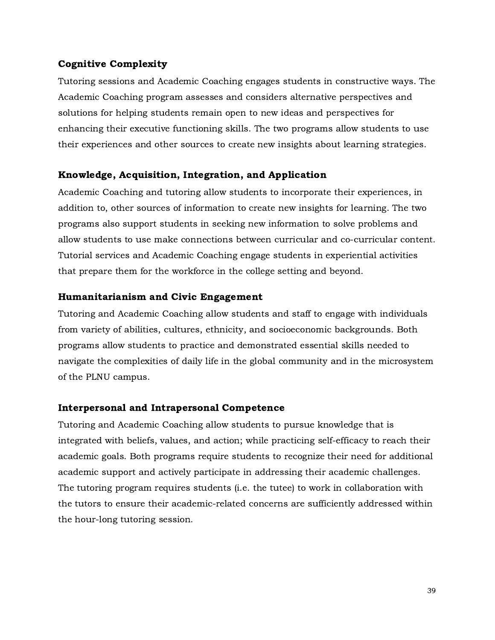### Cognitive Complexity

Tutoring sessions and Academic Coaching engages students in constructive ways. The Academic Coaching program assesses and considers alternative perspectives and solutions for helping students remain open to new ideas and perspectives for enhancing their executive functioning skills. The two programs allow students to use their experiences and other sources to create new insights about learning strategies.

### Knowledge, Acquisition, Integration, and Application

Academic Coaching and tutoring allow students to incorporate their experiences, in addition to, other sources of information to create new insights for learning. The two programs also support students in seeking new information to solve problems and allow students to use make connections between curricular and co-curricular content. Tutorial services and Academic Coaching engage students in experiential activities that prepare them for the workforce in the college setting and beyond.

#### Humanitarianism and Civic Engagement

Tutoring and Academic Coaching allow students and staff to engage with individuals from variety of abilities, cultures, ethnicity, and socioeconomic backgrounds. Both programs allow students to practice and demonstrated essential skills needed to navigate the complexities of daily life in the global community and in the microsystem of the PLNU campus.

#### Interpersonal and Intrapersonal Competence

Tutoring and Academic Coaching allow students to pursue knowledge that is integrated with beliefs, values, and action; while practicing self-efficacy to reach their academic goals. Both programs require students to recognize their need for additional academic support and actively participate in addressing their academic challenges. The tutoring program requires students (i.e. the tutee) to work in collaboration with the tutors to ensure their academic-related concerns are sufficiently addressed within the hour-long tutoring session.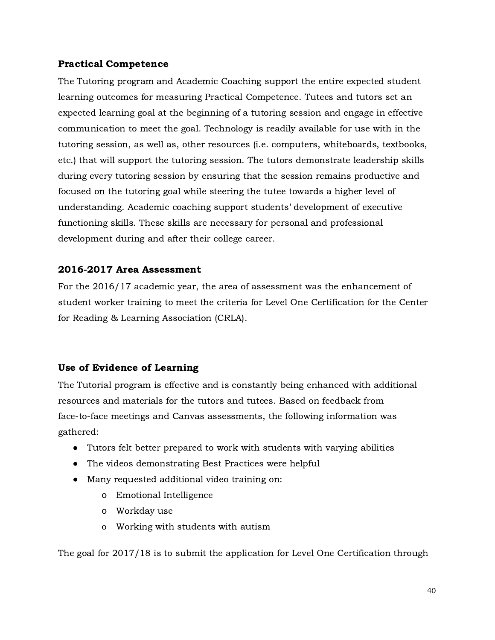### Practical Competence

The Tutoring program and Academic Coaching support the entire expected student learning outcomes for measuring Practical Competence. Tutees and tutors set an expected learning goal at the beginning of a tutoring session and engage in effective communication to meet the goal. Technology is readily available for use with in the tutoring session, as well as, other resources (i.e. computers, whiteboards, textbooks, etc.) that will support the tutoring session. The tutors demonstrate leadership skills during every tutoring session by ensuring that the session remains productive and focused on the tutoring goal while steering the tutee towards a higher level of understanding. Academic coaching support students' development of executive functioning skills. These skills are necessary for personal and professional development during and after their college career.

## 2016-2017 Area Assessment

For the 2016/17 academic year, the area of assessment was the enhancement of student worker training to meet the criteria for Level One Certification for the Center for Reading & Learning Association (CRLA).

## Use of Evidence of Learning

The Tutorial program is effective and is constantly being enhanced with additional resources and materials for the tutors and tutees. Based on feedback from face-to-face meetings and Canvas assessments, the following information was gathered:

- Tutors felt better prepared to work with students with varying abilities
- The videos demonstrating Best Practices were helpful
- Many requested additional video training on:
	- o Emotional Intelligence
	- o Workday use
	- o Working with students with autism

The goal for 2017/18 is to submit the application for Level One Certification through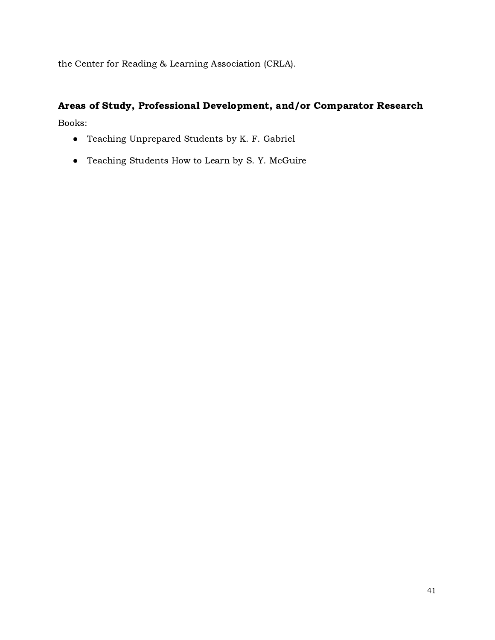the Center for Reading & Learning Association (CRLA).

# Areas of Study, Professional Development, and/or Comparator Research

Books:

- Teaching Unprepared Students by K. F. Gabriel
- Teaching Students How to Learn by S. Y. McGuire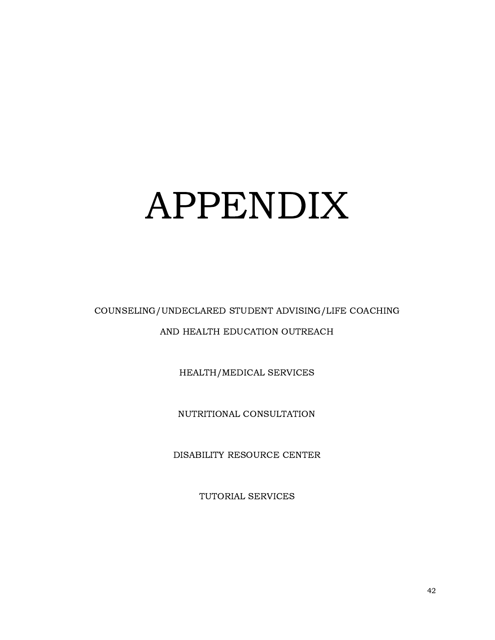# APPENDIX

# COUNSELING/UNDECLARED STUDENT ADVISING/LIFE COACHING AND HEALTH EDUCATION OUTREACH

HEALTH/MEDICAL SERVICES

NUTRITIONAL CONSULTATION

DISABILITY RESOURCE CENTER

TUTORIAL SERVICES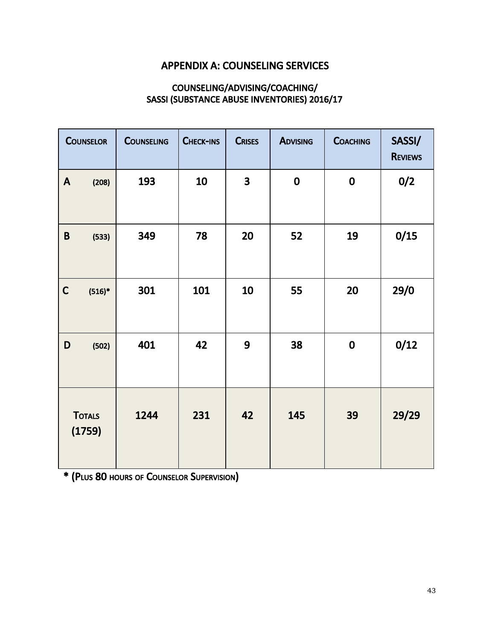# APPENDIX A: COUNSELING SERVICES

# COUNSELING/ADVISING/COACHING/ SASSI (SUBSTANCE ABUSE INVENTORIES) 2016/17

|              | <b>COUNSELOR</b>        | <b>COUNSELING</b> | CHECK-INS | <b>CRISES</b>           | <b>ADVISING</b> | <b>COACHING</b> | SASSI/<br><b>REVIEWS</b> |
|--------------|-------------------------|-------------------|-----------|-------------------------|-----------------|-----------------|--------------------------|
| $\mathsf{A}$ | (208)                   | 193               | 10        | $\overline{\mathbf{3}}$ | $\mathbf 0$     | $\mathbf 0$     | 0/2                      |
| $\pmb B$     | (533)                   | 349               | 78        | 20                      | 52              | 19              | 0/15                     |
| $\mathsf{C}$ | $(516)*$                | 301               | 101       | 10                      | 55              | 20              | 29/0                     |
| D            | (502)                   | 401               | 42        | 9                       | 38              | $\mathbf 0$     | 0/12                     |
|              | <b>TOTALS</b><br>(1759) | 1244              | 231       | 42                      | 145             | 39              | 29/29                    |

\* (PLUS 80 HOURS OF COUNSELOR SUPERVISION)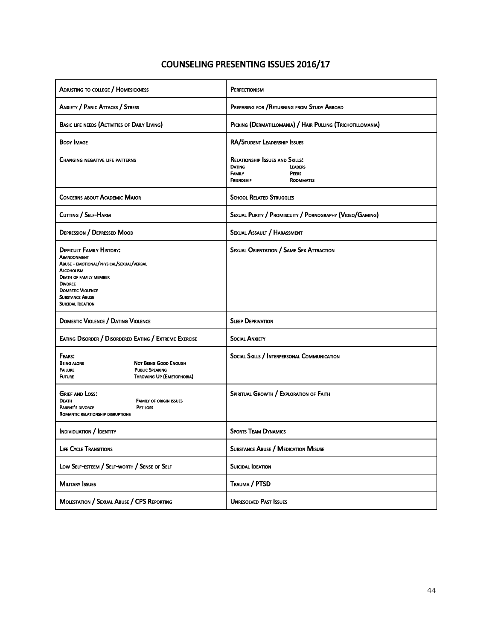# COUNSELING PRESENTING ISSUES 2016/17

| ADJUSTING TO COLLEGE / HOMESICKNESS                                                                                                                                                                                                                   | PERFECTIONISM                                                                                                                         |
|-------------------------------------------------------------------------------------------------------------------------------------------------------------------------------------------------------------------------------------------------------|---------------------------------------------------------------------------------------------------------------------------------------|
| <b>ANXIETY / PANIC ATTACKS / STRESS</b>                                                                                                                                                                                                               | PREPARING FOR / RETURNING FROM STUDY ABROAD                                                                                           |
| <b>BASIC LIFE NEEDS (ACTIVITIES OF DAILY LIVING)</b>                                                                                                                                                                                                  | PICKING (DERMATILLOMANIA) / HAIR PULLING (TRICHOTILLOMANIA)                                                                           |
| Body Image                                                                                                                                                                                                                                            | RA/STUDENT LEADERSHIP ISSUES                                                                                                          |
| <b>CHANGING NEGATIVE LIFE PATTERNS</b>                                                                                                                                                                                                                | <b>RELATIONSHIP ISSUES AND SKILLS:</b><br><b>DATING</b><br><b>LEADERS</b><br><b>FAMILY</b><br><b>PEERS</b><br>FRIENDSHIP<br>ROOMMATES |
| <b>CONCERNS ABOUT ACADEMIC MAJOR</b>                                                                                                                                                                                                                  | <b>SCHOOL RELATED STRUGGLES</b>                                                                                                       |
| CUTTING / SELF-HARM                                                                                                                                                                                                                                   | SEXUAL PURITY / PROMISCUITY / PORNOGRAPHY (VIDEO/GAMING)                                                                              |
| <b>DEPRESSION / DEPRESSED MOOD</b>                                                                                                                                                                                                                    | SEXUAL ASSAULT / HARASSMENT                                                                                                           |
| <b>DIFFICULT FAMILY HISTORY:</b><br>Abandonment<br>ABUSE - EMOTIONAL/PHYSICAL/SEXUAL/VERBAL<br><b>ALCOHOLISM</b><br><b>DEATH OF FAMILY MEMBER</b><br><b>DIVORCE</b><br><b>DOMESTIC VIOLENCE</b><br><b>SUBSTANCE ABUSE</b><br><b>SUICIDAL IDEATION</b> | <b>SEXUAL ORIENTATION / SAME SEX ATTRACTION</b>                                                                                       |
| <b>DOMESTIC VIOLENCE / DATING VIOLENCE</b>                                                                                                                                                                                                            | <b>SLEEP DEPRIVATION</b>                                                                                                              |
| EATING DISORDER / DISORDERED EATING / EXTREME EXERCISE                                                                                                                                                                                                | <b>SOCIAL ANXIETY</b>                                                                                                                 |
| FEARS:<br><b>BEING ALONE</b><br><b>NOT BEING GOOD ENOUGH</b><br><b>PUBLIC SPEAKING</b><br>FAILURE<br><b>FUTURE</b><br>THROWING UP (EMETOPHOBIA)                                                                                                       | SOCIAL SKILLS / INTERPERSONAL COMMUNICATION                                                                                           |
| <b>GRIEF AND LOSS:</b><br>DEATH<br><b>FAMILY OF ORIGIN ISSUES</b><br>PARENT'S DIVORCE<br>PET LOSS<br>ROMANTIC RELATIONSHIP DISRUPTIONS                                                                                                                | SPIRITUAL GROWTH / EXPLORATION OF FAITH                                                                                               |
| INDIVIDUATION / IDENTITY                                                                                                                                                                                                                              | <b>SPORTS TEAM DYNAMICS</b>                                                                                                           |
| <b>LIFE CYCLE TRANSITIONS</b>                                                                                                                                                                                                                         | <b>SUBSTANCE ABUSE / MEDICATION MISUSE</b>                                                                                            |
| LOW SELF-ESTEEM / SELF-WORTH / SENSE OF SELF                                                                                                                                                                                                          | <b>SUICIDAL IDEATION</b>                                                                                                              |
| <b>MILITARY ISSUES</b>                                                                                                                                                                                                                                | TRAUMA / PTSD                                                                                                                         |
| MOLESTATION / SEXUAL ABUSE / CPS REPORTING                                                                                                                                                                                                            | <b>UNRESOLVED PAST ISSUES</b>                                                                                                         |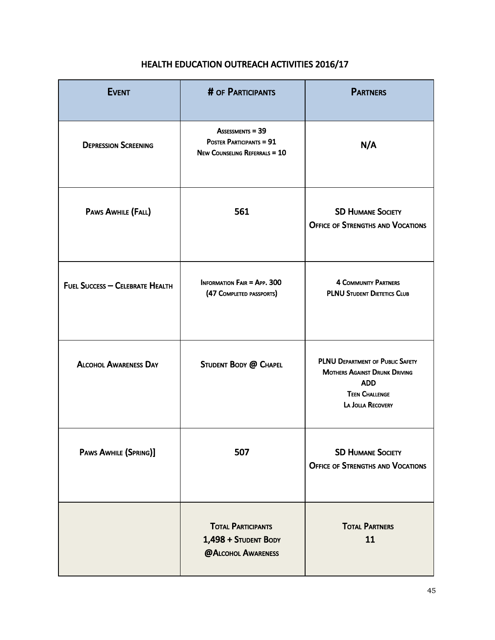| <b>EVENT</b>                    | # OF PARTICIPANTS                                                                           | <b>PARTNERS</b>                                                                                                                      |
|---------------------------------|---------------------------------------------------------------------------------------------|--------------------------------------------------------------------------------------------------------------------------------------|
| <b>DEPRESSION SCREENING</b>     | <b>ASSESSMENTS = 39</b><br>POSTER PARTICIPANTS = 91<br><b>NEW COUNSELING REFERRALS = 10</b> | N/A                                                                                                                                  |
| PAWS AWHILE (FALL)              | 561                                                                                         | <b>SD HUMANE SOCIETY</b><br><b>OFFICE OF STRENGTHS AND VOCATIONS</b>                                                                 |
| FUEL SUCCESS - CELEBRATE HEALTH | <b>INFORMATION FAIR = APP. 300</b><br>(47 COMPLETED PASSPORTS)                              | <b>4 COMMUNITY PARTNERS</b><br><b>PLNU STUDENT DIETETICS CLUB</b>                                                                    |
| <b>ALCOHOL AWARENESS DAY</b>    | STUDENT BODY @ CHAPEL                                                                       | PLNU DEPARTMENT OF PUBLIC SAFETY<br><b>MOTHERS AGAINST DRUNK DRIVING</b><br><b>ADD</b><br><b>TEEN CHALLENGE</b><br>LA JOLLA RECOVERY |
| PAWS AWHILE (SPRING)]           | 507                                                                                         | <b>SD HUMANE SOCIETY</b><br><b>OFFICE OF STRENGTHS AND VOCATIONS</b>                                                                 |
|                                 | <b>TOTAL PARTICIPANTS</b><br>1,498 + STUDENT BODY<br>@ALCOHOL AWARENESS                     | <b>TOTAL PARTNERS</b><br>11                                                                                                          |

# HEALTH EDUCATION OUTREACH ACTIVITIES 2016/17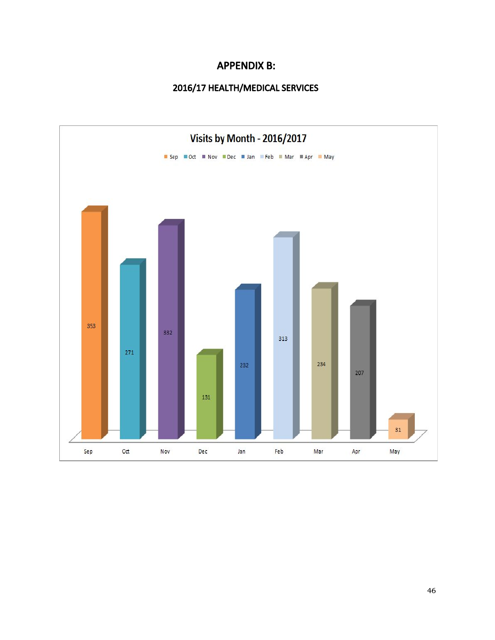# APPENDIX B:

# 2016/17 HEALTH/MEDICAL SERVICES

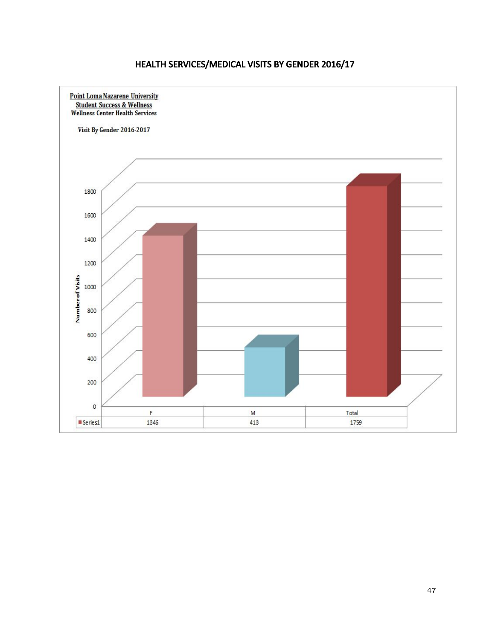# HEALTH SERVICES/MEDICAL VISITS BY GENDER 2016/17

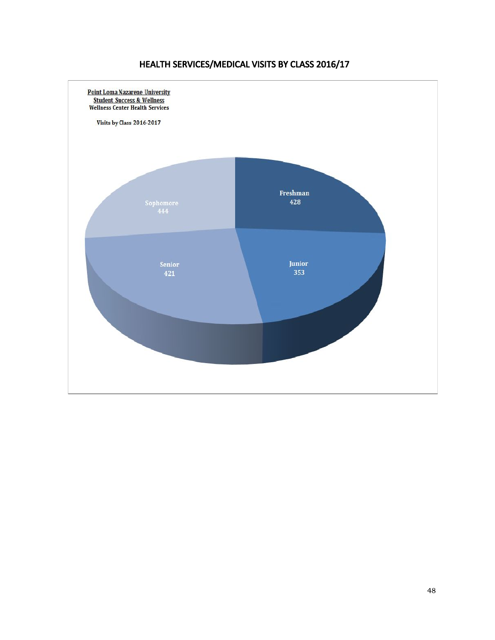# HEALTH SERVICES/MEDICAL VISITS BY CLASS 2016/17

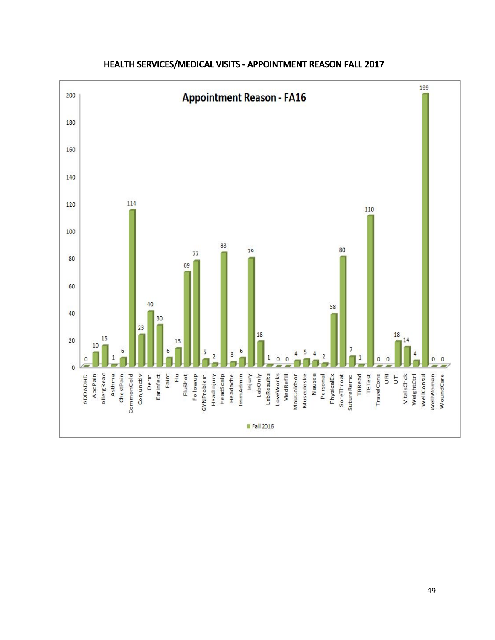

# HEALTH SERVICES/MEDICAL VISITS - APPOINTMENT REASON FALL 2017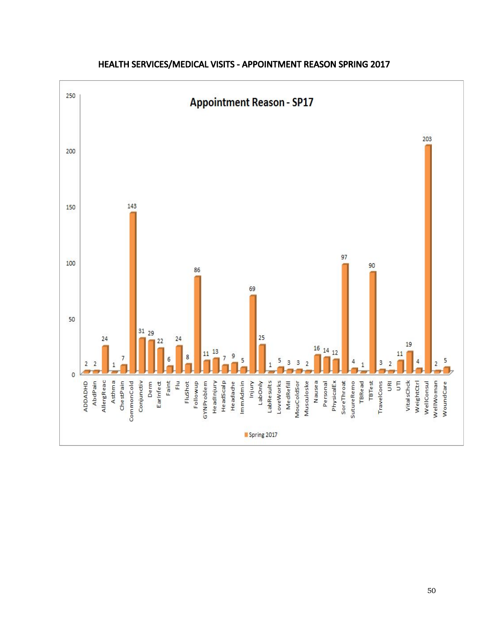

# HEALTH SERVICES/MEDICAL VISITS - APPOINTMENT REASON SPRING 2017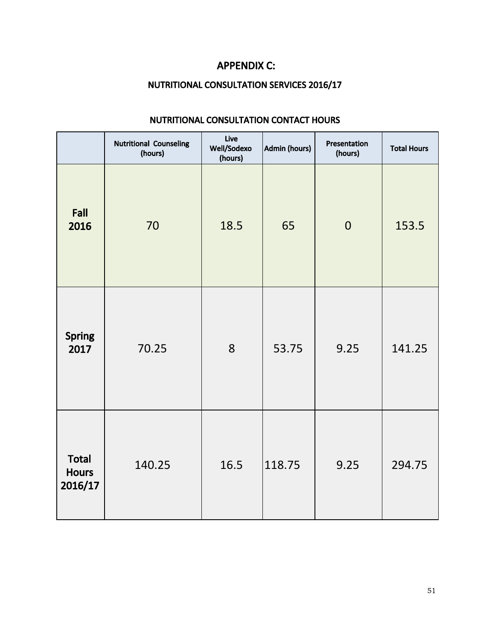# APPENDIX C:

# NUTRITIONAL CONSULTATION SERVICES 2016/17

|                                         | <b>Nutritional Counseling</b><br>(hours) | Live<br>Well/Sodexo<br>(hours) | Admin (hours) | Presentation<br>(hours) | <b>Total Hours</b> |
|-----------------------------------------|------------------------------------------|--------------------------------|---------------|-------------------------|--------------------|
| Fall<br>2016                            | 70                                       | 18.5                           | 65            | $\overline{0}$          | 153.5              |
| <b>Spring</b><br>2017                   | 70.25                                    | 8                              | 53.75         | 9.25                    | 141.25             |
| <b>Total</b><br><b>Hours</b><br>2016/17 | 140.25                                   | 16.5                           | 118.75        | 9.25                    | 294.75             |

# NUTRITIONAL CONSULTATION CONTACT HOURS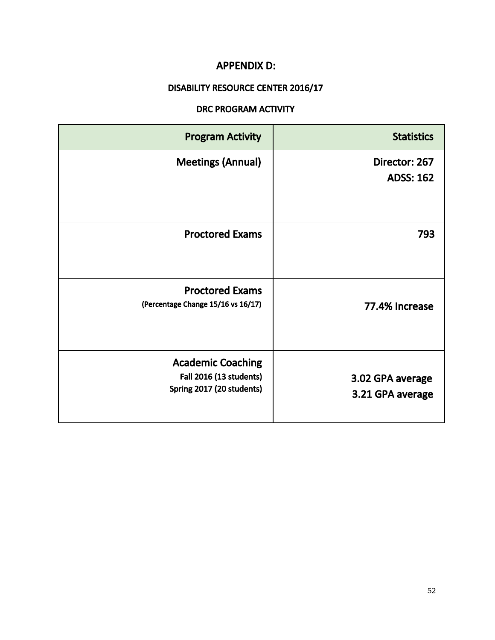# APPENDIX D:

# DISABILITY RESOURCE CENTER 2016/17

# DRC PROGRAM ACTIVITY

| <b>Program Activity</b>                                                                 | <b>Statistics</b>                    |
|-----------------------------------------------------------------------------------------|--------------------------------------|
| <b>Meetings (Annual)</b>                                                                | Director: 267<br><b>ADSS: 162</b>    |
| <b>Proctored Exams</b>                                                                  | 793                                  |
| <b>Proctored Exams</b><br>(Percentage Change 15/16 vs 16/17)                            | 77.4% Increase                       |
| <b>Academic Coaching</b><br><b>Fall 2016 (13 students)</b><br>Spring 2017 (20 students) | 3.02 GPA average<br>3.21 GPA average |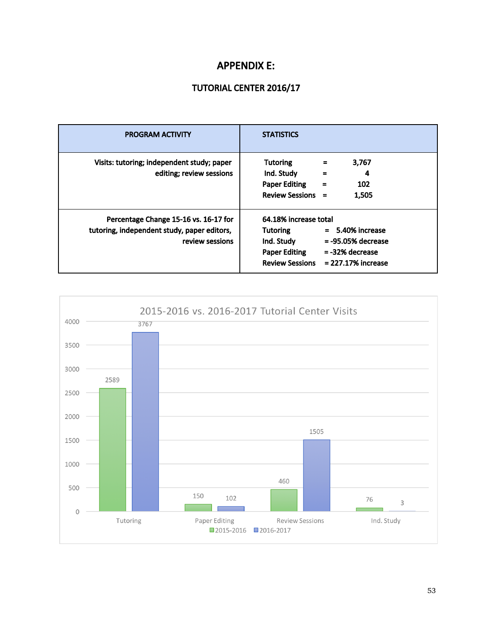# APPENDIX E:

# TUTORIAL CENTER 2016/17

| <b>PROGRAM ACTIVITY</b>                                                                                 | <b>STATISTICS</b>                                                                                                                                                                              |
|---------------------------------------------------------------------------------------------------------|------------------------------------------------------------------------------------------------------------------------------------------------------------------------------------------------|
| Visits: tutoring; independent study; paper<br>editing; review sessions                                  | <b>Tutoring</b><br>3,767<br>$\equiv$<br>Ind. Study<br>4<br>$\equiv$<br><b>Paper Editing</b><br>102<br>$\equiv$<br><b>Review Sessions</b><br>1,505<br>$=$                                       |
| Percentage Change 15-16 vs. 16-17 for<br>tutoring, independent study, paper editors,<br>review sessions | 64.18% increase total<br>$= 5.40\%$ increase<br>Tutoring<br>Ind. Study<br>$= -95.05%$ decrease<br><b>Paper Editing</b><br>$= -32%$ decrease<br><b>Review Sessions</b><br>$= 227.17\%$ increase |